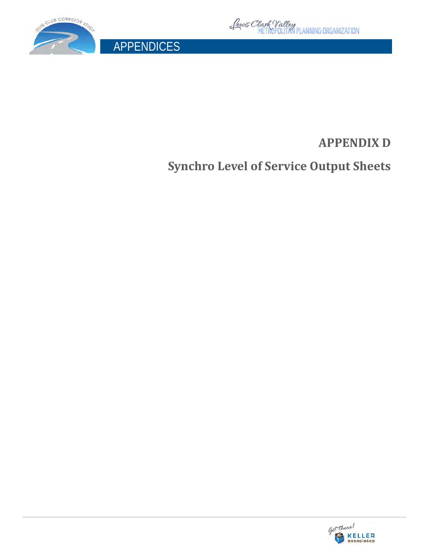



APPENDICES

# **APPENDIX D**

**Synchro Level of Service Output Sheets**

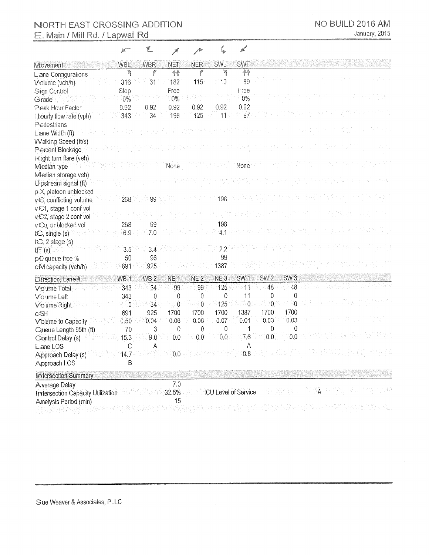# NORTH EAST CROSSING ADDITION E. Main / Mill Rd. / Lapwai Rd

| <b>CONTRACTOR</b><br>£K. | w |  | e |
|--------------------------|---|--|---|
|                          |   |  |   |

| Movement                          | <b>WBL</b>      | <b>WBR</b>      | <b>NET</b>      | <b>NER</b>      | SWL                         | <b>SWT</b>      |                 |                 |  |  |
|-----------------------------------|-----------------|-----------------|-----------------|-----------------|-----------------------------|-----------------|-----------------|-----------------|--|--|
| Lane Configurations               | q               | 7               | 个               | f               | q                           | <b>AA</b>       |                 |                 |  |  |
| Volume (veh/h)                    | 316             | 31              | 182             | 115             | 10                          | 89              |                 |                 |  |  |
| Sign Control                      | Stop            |                 | Free            |                 |                             | Free            |                 |                 |  |  |
| Grade:                            | $0\%$           |                 | $0\%$           |                 |                             | 0%              |                 |                 |  |  |
| Peak Hour Factor                  | 0.92            | 0.92            | 0.92            | 0.92            | 0.92                        | 0.92            |                 |                 |  |  |
| Hourly flow rate (vph)            | 343             | 34              | 198             | 125             | 11                          | 97              |                 |                 |  |  |
| Pedestrians                       |                 |                 |                 |                 |                             |                 |                 |                 |  |  |
| Lane Width (ft)                   |                 |                 |                 |                 |                             |                 |                 |                 |  |  |
| Walking Speed (ft/s)              |                 |                 |                 |                 |                             |                 |                 |                 |  |  |
| Percent Blockage                  |                 |                 |                 |                 |                             |                 |                 |                 |  |  |
| Right turn flare (veh)            |                 |                 |                 |                 |                             |                 |                 |                 |  |  |
| Median type                       |                 |                 | None            |                 |                             | None            |                 |                 |  |  |
| Median storage veh)               |                 |                 |                 |                 |                             |                 |                 |                 |  |  |
| Upstream signal (ft)              |                 |                 |                 |                 |                             |                 |                 |                 |  |  |
| p X, platoon unblocked            |                 |                 |                 |                 |                             |                 |                 |                 |  |  |
| vC, conflicting volume            | 268             | 99              |                 |                 | 198                         |                 |                 |                 |  |  |
| v€1, stage 1 conf vol             |                 |                 |                 |                 |                             |                 |                 |                 |  |  |
| vC2, stage 2 conf vol             |                 |                 |                 |                 |                             |                 |                 |                 |  |  |
| v€u, unblocked vol                | 268             | 99              |                 |                 | 198                         |                 |                 |                 |  |  |
| t $C$ , single $(s)$              | 6.9             | 7.0             |                 |                 |                             | $4.1 - 1.7$     |                 |                 |  |  |
| $tC$ , 2 stage (s)                |                 |                 |                 |                 |                             |                 |                 |                 |  |  |
| tF(s)                             | 3.5             | 3.4             |                 |                 | 2.2                         |                 |                 |                 |  |  |
| pO queue free %                   | 50              | 96              |                 |                 | 99<br>1387                  |                 |                 |                 |  |  |
| c™ capacity (veh/h)               | 691             | 925             |                 |                 |                             |                 |                 |                 |  |  |
| Direction, Lane #                 | WB <sub>1</sub> | WB <sub>2</sub> | NE <sub>1</sub> | NE <sub>2</sub> | NE <sub>3</sub>             | SW <sub>1</sub> | SW <sub>2</sub> | SW <sub>3</sub> |  |  |
| Volume Total                      | 343             | 34              | 99              | 99              | 125                         | $\overline{11}$ | 48              | 48              |  |  |
| Volume Left                       | 343             | 0               | 0               | 0               | $\mathbf 0$                 | 11              | 0               | $\mathbf{0}$    |  |  |
| Volume Right                      | $\overline{0}$  | 34              | $\mathbf{0}$    | $\overline{0}$  | 125                         | $^{\circ}$ 0    | $\theta$        | 0               |  |  |
| <b>cSH</b>                        | 691             | 925             | 1700            | 1700            | 1700                        | 1387            | 1700            | 1700            |  |  |
| Volume to Capacity                | 0.50            | 0.04            | 0.06            | 0.06            | 0.07                        | 0.01            | 0.03            | 0.03            |  |  |
| Queue Length 95th (ft)            | 70              | 3               | $\mathbf 0$     | 0               | 0                           | 1               | $\mathbf{0}$    | $\mathbf 0$     |  |  |
| Control Delay (s)                 | 15.3            | 9.0             | 0.0             | 0.0             | 0.0                         | 7.6             | 0.0             | 0.0             |  |  |
| Lane LOS                          | С               | Α               |                 |                 |                             | Α               |                 |                 |  |  |
| Approach Delay (s)                | 14.7            |                 | 0.0             |                 |                             | 0.8             |                 |                 |  |  |
| Approach LOS                      | B               |                 |                 |                 |                             |                 |                 |                 |  |  |
| <b>Intersection Summary</b>       |                 |                 |                 |                 |                             |                 |                 |                 |  |  |
| Average Delay                     |                 |                 | 7.0             |                 |                             |                 |                 |                 |  |  |
| Intersection Capacity Utilization |                 |                 | 32.5%           |                 | <b>ICU Level of Service</b> |                 |                 |                 |  |  |
| Analysis Period (min)             |                 |                 | 15              |                 |                             |                 |                 |                 |  |  |
|                                   |                 |                 |                 |                 |                             |                 |                 |                 |  |  |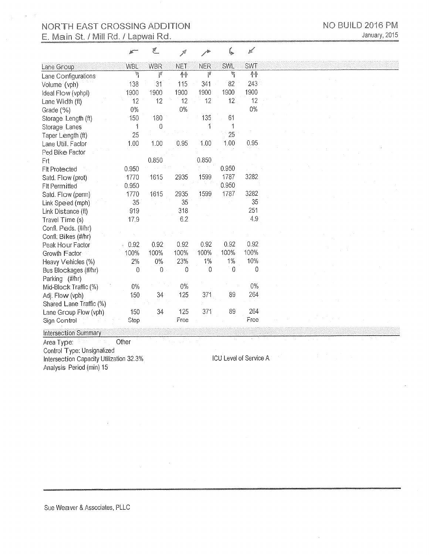### NORTH EAST CROSSING ADDITION E. Main St. / Mill Rd. / Lapwai Rd.

| NO BUILD 2016 PM |  |               |
|------------------|--|---------------|
|                  |  | January, 2015 |

|                         |            | F          |            |            |                 | محيط       |  |
|-------------------------|------------|------------|------------|------------|-----------------|------------|--|
| Lane Group              | <b>WBL</b> | <b>WBR</b> | <b>NET</b> | <b>NER</b> | <b>SWL</b>      | <b>SWT</b> |  |
| Lane Configurations     | ħ          | f          | 个个         | f          | e.<br>P         | 脅          |  |
| Volume (vph)            | 138        | 31         | 115        | 341        | 82              | 243        |  |
| Ideal Flow (vphpl)      | 1900       | 1900       | 1900       | 1900       | 1900            | 1900       |  |
| Lane Width (ft)         | 12         | 12         | 12         | 12         | 12 <sup>2</sup> | 12         |  |
| Grade (%)               | 0%         |            | 0%         |            |                 | $0\%$      |  |
| Storage Length (ft)     | 150        | 180        |            | 135        | 61              |            |  |
| Storage Lanes           | 1          | 0          |            |            | 1               |            |  |
| Taper Length (ft)       | 25         |            |            |            | 25              |            |  |
| Lane Util. Factor       | 1.00       | 1.00       | 0.95       | 1.00       | 1.00            | 0.95       |  |
| Ped Bike Factor         |            |            |            |            |                 |            |  |
| Frt                     |            | 0.850      |            | 0.850      |                 |            |  |
| <b>FIt Protected</b>    | 0.950      |            |            |            | 0.950           |            |  |
| Satd. Flow (prot)       | 1770       | 1615       | 2935       | 1599       | 1787            | 3282       |  |
| <b>Fit Permitted</b>    | 0.950      |            |            |            | 0.950           |            |  |
| Satd. Flow (perm)       | 1770       | 1615       | 2935       | 1599       | 1787            | 3282       |  |
| Link Speed (mph)        | 35         |            | 35         |            |                 | 35         |  |
| Link Distance (ft)      | 919        |            | 318        |            |                 | 251        |  |
| Travel Time (s)         | 17,9       |            | 6.2        |            |                 | 4.9        |  |
| Confl. Peds. (#/hr)     |            |            |            |            |                 |            |  |
| Confl. Bikes (#/hr)     |            |            |            |            |                 |            |  |
| Peak Hour Factor        | 0.92       | 0.92       | 0.92       | 0.92       | 0.92            | 0.92       |  |
| Growth Factor           | 100%       | 100%       | 100%       | 100%       | 100%            | 100%       |  |
| Heavy Vehicles (%)      | 2%         | 0%         | 23%        | 1%         | $1\%$           | 10%        |  |
| Bus Blockages (#/hr)    | $\theta$   | 0          | 0          | $\theta$   | 0               | 0          |  |
| Parking (#/hr)          |            |            |            |            |                 |            |  |
| Mid-Block Traffic (%)   | $0\%$      |            | 0%         |            |                 | $0\%$      |  |
| Adj. Flow (vph)         | 150        | 34         | 125        | 371        | 89              | 264        |  |
| Shared Lane Traffic (%) |            |            |            |            |                 |            |  |
| Lane Group Flow (vph)   | 150        | 34         | 125        | 371        | 89              | 264        |  |
| Sign Control            | Stop       |            | Free       |            |                 | Free       |  |

**Intersection Summary** 

Area Type: Other Control Type: Unsignalized<br>Intersection Capacity Utilization 32.3%

Analysis Period (min) 15

ICU Level of Service A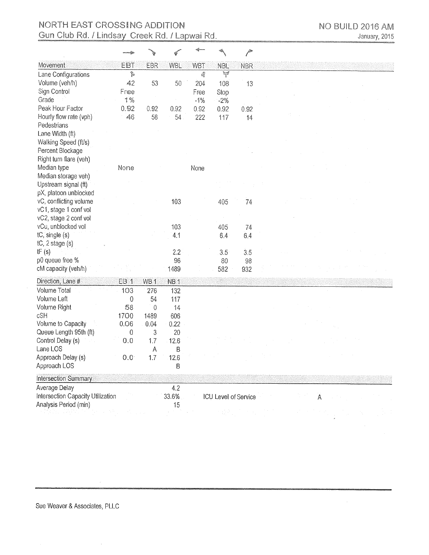# NORTH EAST CROSSING ADDITION Gun Club Rd. / Lindsay Creek Rd. / Lapwai Rd.

|                                   |                    |                 |                 |            |                      | <b>Allen</b> |   |
|-----------------------------------|--------------------|-----------------|-----------------|------------|----------------------|--------------|---|
| Movement                          | EBT                | EBR             | <b>WBL</b>      | <b>WBT</b> | <b>NBL</b>           | <b>NBR</b>   |   |
| Lane Configurations               | $\hat{\mathbb{P}}$ |                 |                 | q          | W                    |              |   |
| Volume (veh/h)                    | 42                 | 53              | 50              | 204        | 108                  | 13           |   |
| Sign Control                      | Free               |                 |                 | Free       | Stop                 |              |   |
| Grade                             | $1\%$              |                 |                 | $-1%$      | $-2%$                |              |   |
| Peak Hour Factor                  | 0.92               | 0.92            | 0.92            | 0.92       | 0.92                 | 0.92         |   |
| Hourly flow rate (vph)            | 46                 | 58              | 54              | 222        | 117                  | 14           |   |
| Pedestrians                       |                    |                 |                 |            |                      |              |   |
| Lane Width (ft)                   |                    |                 |                 |            |                      |              |   |
| Walking Speed (ft/s)              |                    |                 |                 |            |                      |              |   |
| Percent Blockage                  |                    |                 |                 |            |                      |              |   |
| Right turn flare (veh)            |                    |                 |                 |            |                      |              |   |
| Median type                       | None               |                 |                 | None       |                      |              |   |
| Median storage veh)               |                    |                 |                 |            |                      |              |   |
| Upstream signal (ft)              |                    |                 |                 |            |                      |              |   |
| pX, platoon unblocked             |                    |                 |                 |            |                      |              |   |
| vC, conflicting volume            |                    |                 | 103             |            | 405                  | 74           |   |
| vC1, stage 1 conf vol             |                    |                 |                 |            |                      |              |   |
| vC2, stage 2 conf vol             |                    |                 |                 |            |                      |              |   |
| vCu, unblocked vol                |                    |                 | 103             |            | 405                  | 74           |   |
| tC, single (s)                    |                    |                 | 4.1             |            | 6.4                  | 6,4          |   |
| $tC$ , 2 stage $(s)$              |                    |                 |                 |            |                      |              |   |
| tF(s)                             |                    |                 | 2.2             |            | 3.5                  | 3.5          |   |
| p0 queue free %                   |                    |                 | 96              |            | 80                   | 98           |   |
| cM capacity (veh/h)               |                    |                 | 1489            |            | 582                  | 932          |   |
| Direction, Lane #                 | EB <sub>1</sub>    | WB <sub>1</sub> | NB <sub>1</sub> |            |                      |              |   |
| Volume Total                      | 103                | 276             | 132             |            |                      |              |   |
| Volume Left                       | 0                  | 54              | 117             |            |                      |              |   |
| Volume Right                      | 58                 | 0               | 14              |            |                      |              |   |
| cSH                               | 1700               | 1489            | 606             |            |                      |              |   |
| Volume to Capacity                | 0.06               | 0.04            | 0.22            |            |                      |              |   |
| Queue Length 95th (ft)            | 0                  | 3               | 20              |            |                      |              |   |
| Control Delay (s)                 | 0.0                | 1.7             | 12.6            |            |                      |              |   |
| Lane LOS                          |                    | A               | B               |            |                      |              |   |
| Approach Delay (s)                | 0.0                | 1.7             | 12.6            |            |                      |              |   |
| Approach LOS                      |                    |                 | B               |            |                      |              |   |
| Intersection Summary              |                    |                 |                 |            |                      |              |   |
| Average Delay                     |                    |                 | 4.2             |            |                      |              |   |
| Intersection Capacity Utilization |                    |                 | 33.6%           |            | ICU Level of Service |              | A |
| Analysis Period (min)             |                    |                 | 15              |            |                      |              |   |
|                                   |                    |                 |                 |            | 사람이다                 |              |   |

 $\bar{\gamma}$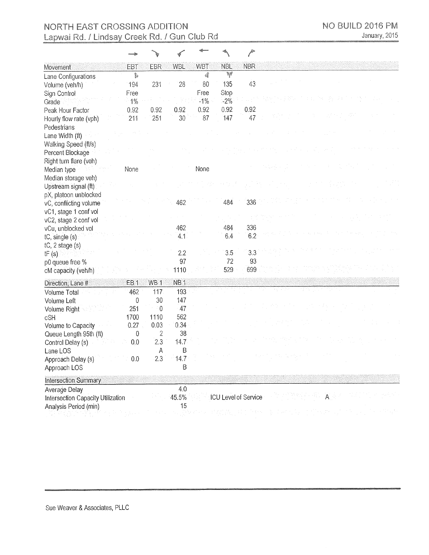|                                                 |                 |                 |                 |                |               | j                    |                 |
|-------------------------------------------------|-----------------|-----------------|-----------------|----------------|---------------|----------------------|-----------------|
| Movement                                        | <b>EBT</b>      | <b>EBR</b>      | <b>WBL</b>      | <b>WBT</b>     | <b>NBL</b>    | <b>NBR</b>           |                 |
| Lane Configurations                             | $\mathbb{P}$    |                 |                 | đ              | ¥             |                      |                 |
| Volume (veh/h)                                  | 194             | 231             | 28              | 80             | 135           | 43                   |                 |
| Sign Control<br>Grade                           | Free<br>1%      |                 |                 | Free<br>$-1\%$ | Stop<br>$-2%$ |                      |                 |
| Peak Hour Factor                                | 0.92            | 0.92            | 0.92            | 0.92           | 0.92          | 0.92                 |                 |
| Hourly flow rate (vph)                          | 211             | 251             | 30              | 87             | 147           | 47                   |                 |
| Pedestrians                                     |                 |                 |                 |                |               |                      |                 |
| Lane Width (ft)                                 |                 |                 |                 |                |               |                      |                 |
| Walking Speed (ft/s)                            |                 |                 |                 |                |               |                      |                 |
| Percent Blockage                                |                 |                 |                 |                |               |                      |                 |
| Right turn flare (veh)                          |                 |                 |                 |                |               |                      |                 |
| Median type                                     | None            |                 |                 | None           |               |                      |                 |
| Median storage veh)                             |                 |                 |                 |                |               |                      |                 |
| Upstream signal (ft)                            |                 |                 |                 |                |               |                      |                 |
| pX, platoon unblocked                           |                 |                 | 462             |                | 484           | 336                  |                 |
| vC, conflicting volume<br>vC1, stage 1 conf vol |                 |                 |                 |                |               |                      |                 |
| vC2, stage 2 conf vol                           |                 |                 |                 |                |               |                      |                 |
| vCu, unblocked vol                              |                 |                 | 462             |                | 484           | 336                  |                 |
| $tC$ , single $(s)$                             |                 |                 | 4.1             |                | 6.4           | 6.2                  |                 |
| $tC$ , 2 stage $(s)$                            |                 |                 |                 |                |               |                      |                 |
| tF(s)                                           |                 |                 | $2.2^{\circ}$   |                | 3.5           | 3.3                  |                 |
| p0 queue free %                                 |                 |                 | 97              |                | 72            | 93                   |                 |
| cM capacity (veh/h)                             |                 |                 | 1110            |                | 529           | 699                  |                 |
| Direction, Lane #                               | EB <sub>1</sub> | WB <sub>1</sub> | NB <sub>1</sub> |                |               |                      |                 |
| Volume Total                                    | 462             | 117             | 193             |                |               |                      |                 |
| Volume Left                                     | 0               | 30              | 147             |                |               |                      |                 |
| Volume Right                                    | 251             | $\overline{0}$  | 47              |                |               |                      |                 |
| cSH                                             | 1700            | 1110            | 562             |                |               |                      |                 |
| Volume to Capacity                              | 0.27            | 0.03            | 0.34            |                |               |                      |                 |
| Queue Length 95th (ft)                          | 0               | 2               | 38              |                |               |                      |                 |
| Control Delay (s)                               | 0.0             | 2.3             | 14.7            |                |               |                      |                 |
| Lane LOS                                        |                 | A               | B               |                |               |                      |                 |
| Approach Delay (s)                              | 0.0             | 2.3             | 14.7            |                |               |                      |                 |
| Approach LOS                                    |                 |                 | Β               |                |               |                      |                 |
| <b>Intersection Summary</b>                     |                 |                 |                 |                |               |                      |                 |
| Average Delay                                   |                 |                 | 4.0             |                |               |                      |                 |
| Intersection Capacity Utilization               |                 |                 | 45.5%           |                |               | ICU Level of Service | $A \rightarrow$ |
| Analysis Period (min)                           |                 |                 | 15              |                |               |                      |                 |
|                                                 |                 |                 |                 |                |               |                      |                 |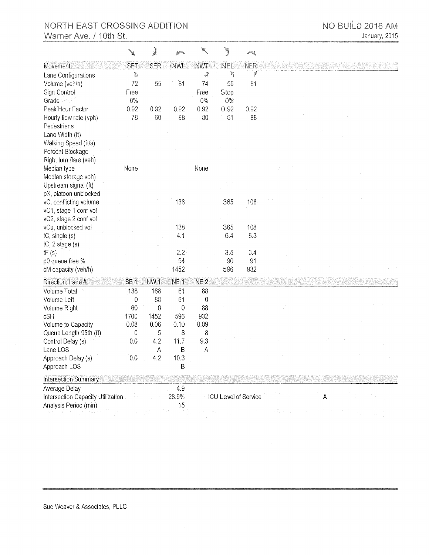### NORTH EAST CROSSING ADDITION Warner Ave. / 10th St.

|                                                | ¥               | j               |                 |                  | Ĵ                    | 一项   |   |
|------------------------------------------------|-----------------|-----------------|-----------------|------------------|----------------------|------|---|
| Movement                                       | <b>SET</b>      | <b>SER</b>      | /NWL            | NWT              | <b>NEL</b>           | NER  |   |
| Lane Configurations                            | $\mathfrak{p}$  |                 |                 | 4Î               | ħ                    | ř    |   |
| Volume (veh/h)                                 | 72              | 55              | 81              | 74               | 56                   | 81   |   |
| Sign Control                                   | Free            |                 |                 | Free             | Stop                 |      |   |
| Grade                                          | $0\%$           |                 |                 | $0\%$            | $0\%$                |      |   |
| Peak Hour Factor                               | 0.92            | 0.92            | 0.92            | 0.92             | 0.92                 | 0.92 |   |
| Hourly flow rate (vph)                         | 78              | 60              | 88              | 80               | 61                   | 88   |   |
| Pedestrians                                    |                 |                 |                 |                  |                      |      |   |
| Lane Width (ft)                                |                 |                 |                 |                  |                      |      |   |
| Walking Speed (ft/s)                           |                 |                 |                 |                  |                      |      |   |
| Percent Blockage                               |                 |                 |                 |                  |                      |      |   |
| Right turn flare (veh)                         |                 |                 |                 |                  |                      |      |   |
| Median type                                    | None            |                 |                 | None             |                      |      |   |
| Median storage veh)                            |                 |                 |                 |                  |                      |      |   |
| Upstream signal (ft)                           |                 |                 |                 |                  |                      |      |   |
| pX, platoon unblocked                          |                 |                 |                 |                  |                      |      |   |
| vC, conflicting volume                         |                 |                 | 138             |                  | 365                  | 108  |   |
| vC1, stage 1 conf vol<br>vC2, stage 2 conf vol |                 |                 |                 |                  |                      |      |   |
| vCu, unblocked vol                             |                 |                 | 138             |                  | 365                  | 108  |   |
| $tC$ , single $(s)$                            |                 |                 | 41              |                  | 6.4                  | 6.3  |   |
| $tC$ , 2 stage $(s)$                           |                 |                 |                 |                  |                      |      |   |
| tF(s)                                          |                 |                 | 2.2             |                  | 3.5                  | 3.4  |   |
| p0 queue free %                                |                 |                 | 94              |                  | 90                   | 91   |   |
| cM capacity (veh/h)                            |                 |                 | 1452            |                  | 596                  | 932  |   |
| Direction, Lane #                              | SE <sub>1</sub> | NW <sub>1</sub> | NE <sub>1</sub> | NE <sub>2</sub>  |                      |      |   |
| Volume Total                                   | 138             | 168             | 61              | 88               |                      |      |   |
| Volume Left                                    | $\mathbf 0$     | 88              | 61              | $\boldsymbol{0}$ |                      |      |   |
| Volume Right                                   | 60              | 0               | $\mathbf 0$     | 88               |                      |      |   |
| cSH                                            | 1700            | 1452            | 596             | 932              |                      |      |   |
| Volume to Capacity                             | 0.08            | 0.06            | 0.10            | 0.09             |                      |      |   |
| Queue Length 95th (ft)                         | 0               | 5               | 8               | 8                |                      |      |   |
| Control Delay (s)                              | 0.0             | 4.2             | 11.7            | 9.3              |                      |      |   |
| Lane LOS                                       |                 | A               | B               | A                |                      |      |   |
| Approach Delay (s)                             | 0.0             | 4.2             | 10.3            |                  |                      |      |   |
| Approach LOS                                   |                 |                 | Β               |                  |                      |      |   |
| Intersection Summary                           |                 |                 |                 |                  |                      |      |   |
| Average Delay                                  |                 |                 | 4.9             |                  |                      |      |   |
| Intersection Capacity Utilization              |                 |                 | 28.9%           |                  | ICU Level of Service |      | А |
| Analysis Period (min)                          |                 |                 | 15              |                  |                      |      |   |
|                                                |                 |                 |                 |                  |                      |      |   |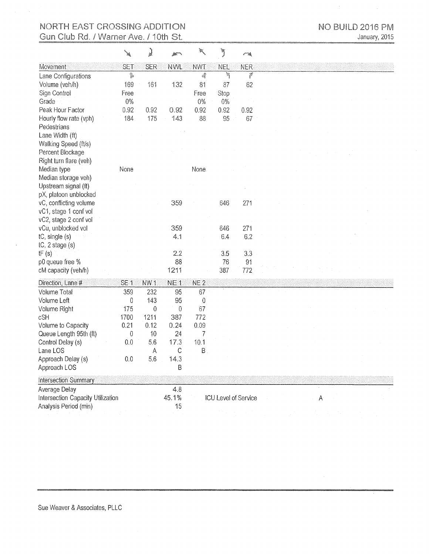# NORTH EAST CROSSING ADDITION Gun Club Rd. / Warner Ave. / 10th St.

 $\ddot{\phantom{a}}$ 

|                                        |                 | J                        |                 | W.              | Ĵ          | 一道                                                                                                                                                                                                                             |              |
|----------------------------------------|-----------------|--------------------------|-----------------|-----------------|------------|--------------------------------------------------------------------------------------------------------------------------------------------------------------------------------------------------------------------------------|--------------|
| Movement                               | <b>SET</b>      | <b>SER</b>               | <b>NWL</b>      | <b>NWT</b>      | <b>NEL</b> | <b>NER</b>                                                                                                                                                                                                                     |              |
| Lane Configurations                    | ĵ.              |                          |                 | 4               | ħ          | e de la provincia de la provincia de la provincia de la provincia de la provincia de la provincia de la provincia de la provincia de la provincia de la provincia de la provincia de la provincia de la provincia de la provin |              |
| Volume (veh/h)                         | 169             | 161                      | 132             | 81              | 87         | 62                                                                                                                                                                                                                             |              |
| Sign Control                           | Free            |                          |                 | Free            | Stop       |                                                                                                                                                                                                                                |              |
| Grade                                  | 0%              |                          |                 | $0\%$           | 0%         |                                                                                                                                                                                                                                |              |
| Peak Hour Factor                       | 0.92            | 0.92                     | 0.92            | 0.92            | 0.92       | 0.92                                                                                                                                                                                                                           |              |
| Hourly flow rate (vph)                 | 184             | 175                      | 143             | 88              | 95         | 67                                                                                                                                                                                                                             |              |
| Pedestrians                            |                 |                          |                 |                 |            |                                                                                                                                                                                                                                |              |
| Lane Width (ft)                        |                 |                          |                 |                 |            |                                                                                                                                                                                                                                |              |
| Walking Speed (ft/s)                   |                 |                          |                 |                 |            |                                                                                                                                                                                                                                |              |
| Percent Blockage                       |                 |                          |                 |                 |            |                                                                                                                                                                                                                                |              |
| Right turn flare (veh)                 |                 |                          |                 |                 |            |                                                                                                                                                                                                                                |              |
| Median type                            | None            |                          |                 | None            |            |                                                                                                                                                                                                                                |              |
| Median storage veh)                    |                 |                          |                 |                 |            |                                                                                                                                                                                                                                |              |
| Upstream signal (ft)                   |                 |                          |                 |                 |            |                                                                                                                                                                                                                                |              |
| pX, platoon unblocked                  |                 |                          |                 |                 |            |                                                                                                                                                                                                                                |              |
| vC, conflicting volume                 |                 |                          | 359             |                 | 646        | 271                                                                                                                                                                                                                            |              |
| vC1, stage 1 conf vol                  |                 |                          |                 |                 |            |                                                                                                                                                                                                                                |              |
| vC2, stage 2 conf vol                  |                 |                          |                 |                 |            |                                                                                                                                                                                                                                |              |
| vCu, unblocked vol                     |                 |                          | 359<br>4.1      |                 | 646<br>6.4 | 271<br>6.2                                                                                                                                                                                                                     |              |
| tC, single (s)<br>$tC$ , 2 stage $(s)$ |                 |                          |                 |                 |            |                                                                                                                                                                                                                                |              |
| tF(s)                                  |                 |                          | 2.2             |                 | 3.5        | 3.3                                                                                                                                                                                                                            |              |
| p0 queue free %                        |                 |                          | 88              |                 | 76         | 91                                                                                                                                                                                                                             |              |
| cM capacity (veh/h)                    |                 |                          | 1211            |                 | 387        | 772                                                                                                                                                                                                                            |              |
|                                        |                 |                          |                 |                 |            |                                                                                                                                                                                                                                |              |
| Direction, Lane #                      | SE <sub>1</sub> | NW <sub>1</sub>          | NE <sub>1</sub> | NE <sub>2</sub> |            |                                                                                                                                                                                                                                |              |
| Volume Total                           | 359             | 232                      | 95              | 67              |            |                                                                                                                                                                                                                                |              |
| Volume Left                            | 0               | 143                      | 95              | $\theta$        |            |                                                                                                                                                                                                                                |              |
| Volume Right<br>cSH                    | 175<br>1700     | $\boldsymbol{0}$<br>1211 | 0<br>387        | 67<br>772       |            |                                                                                                                                                                                                                                |              |
| Volume to Capacity                     | 0.21            | 0.12                     | 0.24            | 0.09            |            |                                                                                                                                                                                                                                |              |
| Queue Length 95th (ft)                 | $\mathbf 0$     | 10                       | 24              | 7               |            |                                                                                                                                                                                                                                |              |
| Control Delay (s)                      | 0.0             | 5.6                      | 17.3            | 10.1            |            |                                                                                                                                                                                                                                |              |
| Lane LOS                               |                 | A                        | $\mathsf{C}$    | $B$ .           |            |                                                                                                                                                                                                                                |              |
| Approach Delay (s)                     | 0.0             | 5.6                      | 14.3            |                 |            |                                                                                                                                                                                                                                |              |
| Approach LOS                           |                 |                          | B               |                 |            |                                                                                                                                                                                                                                |              |
| Intersection Summary                   |                 |                          |                 |                 |            |                                                                                                                                                                                                                                |              |
| Average Delay                          |                 |                          | 4.8             |                 |            |                                                                                                                                                                                                                                |              |
| Intersection Capacity Utilization      |                 |                          | 45.1%           |                 |            | ICU Level of Service                                                                                                                                                                                                           | $\mathsf{A}$ |
| Analysis Period (min)                  |                 |                          | 15              |                 |            |                                                                                                                                                                                                                                |              |
|                                        |                 |                          |                 |                 |            |                                                                                                                                                                                                                                |              |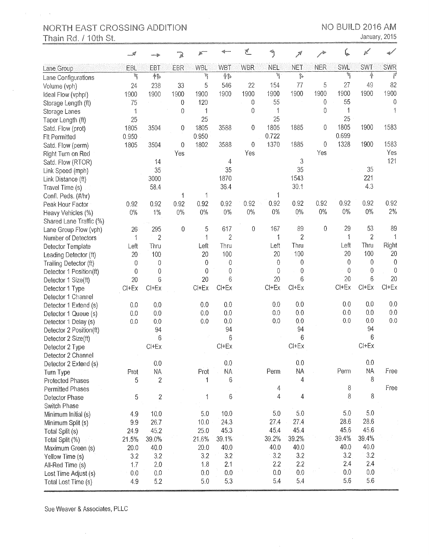$\mathbb{R}^2 \times \mathbb{R}^2$ 

 $\bar{z}$ 

January, 2015

|                         |           |                |                  |             |                  | Á.               |                          |                |             |             | K                |                |
|-------------------------|-----------|----------------|------------------|-------------|------------------|------------------|--------------------------|----------------|-------------|-------------|------------------|----------------|
| Lane Group              | EBL       | EBT            | EBR              | WBL         | WBT              | <b>WBR</b>       | NEL                      | <b>NET</b>     | NER         | SWL         | <b>SWT</b>       | <b>SWR</b>     |
| Lane Configurations     | ħ         | 韩              |                  | ħ           | 作。               |                  | ٦                        | ţ,             |             | ħ           | Ą.               | f              |
| Volume (vph)            | 24        | 238            | 33               | 5           | 546              | 22               | 154                      | 77             | 5           | 27          | 49               | 82             |
| Ideal Flow (vphpl)      | 1900      | 1900           | 1900             | 1900        | 1900             | 1900             | 1900                     | 1900           | 1900        | 1900        | 1900             | 1900           |
| Storage Length (ft)     | 75        |                | $\boldsymbol{0}$ | 120         |                  | $\mathbf 0$      | 55                       |                | $\mathbf 0$ | 55          |                  | 0              |
| Storage Lanes           | 1         |                | 0                | 1           |                  | 0                | 1                        |                | $\mathbf 0$ | 1           |                  |                |
| Taper Length (ft)       | 25        |                |                  | 25          |                  |                  | 25                       |                |             | 25          |                  |                |
| Satd. Flow (prot)       | 1805      | 3504           | $\mathbf 0$      | 1805        | 3588             | 0                | 1805                     | 1885           | 0           | 1805        | 1900             | 1583           |
| <b>FIt Permitted</b>    | 0.950     |                |                  | 0.950       |                  |                  | 0.722                    |                |             | 0.699       |                  |                |
| Satd. Flow (perm)       | 1805      | 3504           | 0                | 1802        | 3588             | 0                | 1370                     | 1885           | 0           | 1328        | 1900             | 1583           |
| Right Turn on Red       |           |                | Yes              |             |                  | Yes              |                          |                | Yes         |             |                  | Yes            |
| Satd. Flow (RTOR)       |           | 14             |                  |             | 4                |                  |                          | 3              |             |             |                  | 121            |
| Link Speed (mph)        |           | 35             |                  |             | 35               |                  |                          | 35             |             |             | 35               |                |
| Link Distance (ft)      |           | 3000           |                  |             | 1870             |                  |                          | 1543           |             |             | 221              |                |
| Travel Time (s)         |           | 58.4           |                  |             | 36.4             |                  |                          | 30.1           |             |             | 4.3              |                |
| Confl. Peds. (#/hr)     |           |                | 1                | 1           |                  |                  |                          |                |             |             |                  |                |
| Peak Hour Factor        | 0.92      | 0.92           | 0.92             | 0.92        | 0.92             | 0.92             | 0.92                     | 0.92           | 0.92        | 0.92        | 0.92             | 0.92           |
| Heavy Vehicles (%)      | $0\%$     | $1\%$          | $0\%$            | $0\%$       | $0\%$            | $0\%$            | $0\%$                    | $0\%$          | $0\%$       | $0\%$       | $0\%$            | 2%             |
| Shared Lane Traffic (%) |           |                |                  |             |                  |                  |                          |                |             |             |                  |                |
| Lane Group Flow (vph)   | 26        | 295            | $\overline{0}$   | 5           | 617              | $\boldsymbol{0}$ | 167                      | 89             | 0           | 29          | 53               | 89             |
| Number of Detectors     | 1         | $\overline{2}$ |                  | 1           | $\overline{c}$   |                  | 1                        | $\overline{2}$ |             | 1           | $\overline{2}$   | 1              |
| Detector Template       | Left      | Thru           |                  | Left        | Thru             |                  | Left                     | Thru           |             | Left        | Thru             | Right          |
| Leading Detector (ft)   | 20        | 100            |                  | 20          | 100              |                  | 20                       | 100            |             | 20          | 100              | 20             |
| Trailing Detector (ft)  | $\theta$  | $\mathbf 0$    |                  | 0           | $\boldsymbol{0}$ |                  | $\overline{0}$           | $\mathbf 0$    |             | $\mathbf 0$ | $\boldsymbol{0}$ | $\overline{0}$ |
| Detector 1 Position(ft) | $\theta$  | 0              |                  | 0           | $\overline{0}$   |                  | $\theta$                 | $\mathbf 0$    |             | $\mathbf 0$ | $\mathbf 0$      | $\theta$       |
| Detector 1 Size(ft)     | 20        | 6              |                  | 20          | 6                |                  | 20                       | 6              |             | 20          | $6\phantom{a}$   | 20             |
| Detector 1 Type         | $Cl + Ex$ | $Cl+Ex$        |                  | $Cl+Ex$     | Cl+Ex            |                  | $Cl + Ex$                | $Cl + Ex$      |             | $Cl+Ex$     | $Cl + Ex$        | $Cl+Ex$        |
| Detector 1 Channel      |           |                |                  |             |                  |                  |                          |                |             |             |                  |                |
| Detector 1 Extend (s)   | 0.0       | 0.0            |                  | 0.0         | 0.0              |                  | 0.0                      | 0.0            |             | 0.0         | 0.0              | 0.0            |
| Detector 1 Queue (s)    | 0.0       | 0.0            |                  | 0.0         | 0.0              |                  | 0.0                      | 0.0            |             | 0.0         | 0.0              | 0.0            |
| Detector 1 Delay (s)    | 0.0       | 0.0            |                  | 0.0         | 0.0              |                  | 0.0                      | 0.0            |             | 0.0         | 0.0              | 0.0            |
| Detector 2 Position(ft) |           | 94             |                  |             | 94               |                  |                          | 94             |             |             | 94               |                |
| Detector 2 Size(ft)     |           | 6              |                  |             | $6\phantom{1}6$  |                  |                          | 6              |             |             | 6                |                |
| Detector 2 Type         |           | $Cl + Ex$      |                  |             | $CI+EX$          |                  |                          | $Cl + Ex$      |             |             | $Cl+Ex$          |                |
| Detector 2 Channel      |           |                |                  |             |                  |                  |                          |                |             |             |                  |                |
| Detector 2 Extend (s)   |           | 0.0            |                  |             | $0.0\,$          |                  |                          | 0.0            |             |             | 0.0              |                |
| Turn Type               | Prot      | <b>NA</b>      |                  | Prot        | NA               |                  | Perm                     | NA             |             | Perm        | ΝA               | Free           |
| <b>Protected Phases</b> | 5         | $\sqrt{2}$     |                  | 1           | 6                |                  |                          | 4              |             |             | 8                |                |
| Permitted Phases        |           |                |                  |             |                  |                  | 4                        |                |             | 8           |                  | Free           |
| Detector Phase          | 5         | $\sqrt{2}$     |                  | $\mathbf 1$ | 6                |                  | $\overline{\mathcal{L}}$ | $\overline{4}$ |             | $\, 8$      | 8                |                |
| Switch Phase            |           |                |                  |             |                  |                  |                          |                |             |             |                  |                |
| Minimum Initial (s)     | 4.9       | 10.0           |                  | 5.0         | 10.0             |                  | $5.0\,$                  | $5.0\,$        |             | 5.0         | 5.0              |                |
| Minimum Split (s)       | 9.9       | 26.7           |                  | 10.0        | 24.3             |                  | 27.4                     | 27.4           |             | 28.6        | 28.6             |                |
| Total Split (s)         | 24.9      | 45.2           |                  | 25.0        | 45.3             |                  | 45.4                     | 45.4           |             | 45.6        | 45.6             |                |
| Total Split (%)         | 21.5%     | 39.0%          |                  | 21.6%       | 39.1%            |                  | 39.2%                    | 39.2%          |             | 39.4%       | 39.4%            |                |
| Maximum Green (s)       | 20.0      | 40.0           |                  | 20.0        | 40.0             |                  | 40.0                     | 40.0           |             | 40.0        | 40.0             |                |
| Yellow Time (s)         | 3.2       | 3.2            |                  | 3.2         | 3:2              |                  | 3.2                      | 3.2            |             | 3.2         | 3.2              |                |
| All-Red Time (s)        | 1.7       | 2.0            |                  | 1.8         | 2.1              |                  | 2.2                      | 2.2            |             | 2.4         | 2.4              |                |
| Lost Time Adjust (s)    | 0.0       | 0.0            |                  | 0.0         | 0.0              |                  | 0.0                      | 0.0            |             | 0.0         | 0.0              |                |
| Total Lost Time (s)     | 4.9       | 5.2            |                  | 5.0         | 5.3              |                  | 5.4                      | 5.4            |             | 5.6         | 5.6              |                |
|                         |           |                |                  |             |                  |                  |                          |                |             |             |                  |                |

Sue Weaver & Associates, PLLC

 $\sim$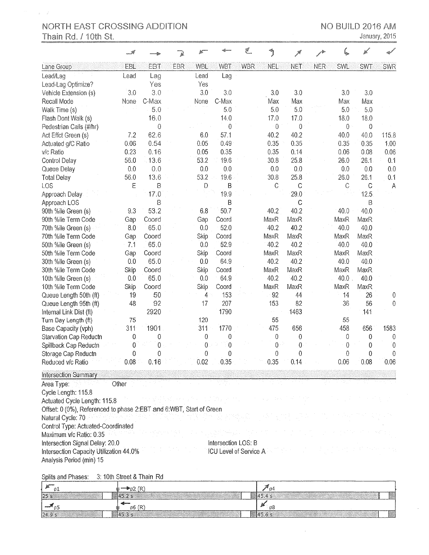$\chi^2 = \chi^2$ 

January, 2015

Ġ,

|                                                                     |       |                |     |             |                               | 巴          |                         |                  |     |                  |             |                  |
|---------------------------------------------------------------------|-------|----------------|-----|-------------|-------------------------------|------------|-------------------------|------------------|-----|------------------|-------------|------------------|
| Lane Group                                                          | EBL   | <b>EBT</b>     | EBR | <b>WBL</b>  | <b>WBT</b>                    | <b>WBR</b> | <b>NEL</b>              | <b>NET</b>       | NER | SWL              | <b>SWT</b>  | <b>SWR</b>       |
| Lead/Lag                                                            | Lead  | Lag            |     | Lead        | Lag                           |            |                         |                  |     |                  |             |                  |
| Lead-Lag Optimize?                                                  |       | Yes            |     | Yes         |                               |            |                         |                  |     |                  |             |                  |
| Vehicle Extension (s)                                               | 3.0   | 3.0            |     | 3.0         | 3.0                           |            | 3.0                     | 3.0              |     | 3.0              | 3.0         |                  |
| Recall Mode                                                         | None  | C-Max          |     | None        | C-Max                         |            | Max                     | Max              |     | Max              | Max         |                  |
| Walk Time (s)                                                       |       | 5.0            |     |             | 5.0                           |            | 5.0                     | 5.0              |     | 5.0              | 5.0         |                  |
| Flash Dont Walk (s)                                                 |       | 16.0           |     |             | 14.0                          |            | 17.0                    | 17.0             |     | 18.0             | 18.0        |                  |
| Pedestrian Calls (#/hr)                                             |       | $\mathbf 0$    |     |             | $\boldsymbol{0}$              |            | $\mathbf 0$             | 0                |     | $\boldsymbol{0}$ | $\theta$    |                  |
| Act Effct Green (s)                                                 | 7.2   | 62.6           |     | 6.0         | 57.1                          |            | 40.2                    | 40.2             |     | 40.0             | 40.0        | 115.8            |
| Actuated g/C Ratio                                                  | 0.06  | 0.54           |     | 0.05        | 0.49                          |            | 0.35                    | 0.35             |     | 0.35             | 0.35        | 1.00             |
| v/c Ratio                                                           | 0.23  | 0.16           |     | 0.05        | 0.35                          |            | 0.35                    | 0.14             |     | 0.06             | 0.08        | 0.06             |
| Control Delay                                                       | 56.0  | 13.6           |     | 53.2        | 19.6                          |            | 30.8                    | 25.8             |     | 26.0             | 26.1        | 0.1              |
| Queue Delay                                                         | 0.0   | 0.0            |     | 0.0         | 0.0                           |            | 0.0                     | 0.0              |     | 0.0              | 0.0         | 0.0              |
| <b>Total Delay</b>                                                  | 56.0  | 13.6           |     | 53.2        | 19.6                          |            | 30.8                    | 25.8             |     | 26.0             | 26.1        | 0.1              |
| LOS                                                                 | E     | B              |     | $\mathsf D$ | B                             |            | $\mathcal{C}$           | $\mathsf{C}$     |     | C                | $\mathsf C$ | $\overline{A}$   |
| Approach Delay                                                      |       | 17.0           |     |             | 19.9                          |            |                         | 29.0             |     |                  | 12.5        |                  |
| Approach LOS                                                        |       | B              |     |             | B                             |            |                         | $\mathsf C$      |     |                  | Β           |                  |
| 90th %ile Green (s)                                                 | 9.3   | 53.2           |     | 6.8         | 50.7                          |            | 40.2                    | 40.2             |     | 40.0             | 40.0        |                  |
| 90th %ile Term Code                                                 | Gap   | Coord          |     | Gap         | Coord                         |            | MaxR                    | MaxR             |     | MaxR             | MaxR        |                  |
| 70th %ile Green (s)                                                 | 8.0   | 65.0           |     | 0.0         | 52.0                          |            | 40.2                    | 40.2             |     | 40.0             | 40.0        |                  |
| 70th %ile Term Code                                                 | Gap   | Coord          |     | Skip        | Coord                         |            | MaxR                    | MaxR             |     | MaxR             | MaxR        |                  |
| 50th %ile Green (s)                                                 | 7.1   | 65.0           |     | 0.0         | 52.9                          |            | 40.2                    | 40.2             |     | 40.0             | 40.0        |                  |
| 50th %ile Term Code                                                 | Gap   | Coord          |     | Skip        | Coord                         |            | MaxR                    | MaxR             |     | MaxR             | MaxR        |                  |
| 30th %ile Green (s)                                                 | 0.0   | 65.0           |     | 0.0         | 64.9                          |            | 40.2                    | 40.2             |     | 40.0             | 40.0        |                  |
| 30th %ile Term Code                                                 | Skip  | Coord          |     | Skip        | Coord                         |            | MaxR                    | MaxR             |     | MaxR             | MaxR        |                  |
| 10th %ile Green (s)                                                 | 0.0   | 65.0           |     | 0.0         | 64.9                          |            | 40.2                    | 40.2             |     | 40.0             | 40.0        |                  |
| 10th %ile Term Code                                                 | Skip  | Coord          |     | Skip        | Coord                         |            | MaxR                    | MaxR             |     | MaxR             | MaxR        |                  |
| Queue Length 50th (ft)                                              | 19    | 50             |     | 4           | 153                           |            | 92                      | 44               |     | 14               | 26          | $\boldsymbol{0}$ |
| Queue Length 95th (ft)                                              | 48    | 92             |     | 17          | 207                           |            | 153                     | 82               |     | 36               | 56          | $\mathbf 0$      |
| Internal Link Dist (ft)                                             |       | 2920           |     |             | 1790                          |            | $\epsilon$ , $\epsilon$ | 1463             |     |                  | 141         |                  |
| Turn Bay Length (ft)                                                | 75    |                |     | 120         |                               |            | 55                      |                  |     | 55               |             |                  |
| Base Capacity (vph)                                                 | 311   | 1901           |     | 311         | 1770                          |            | 475                     | 656              |     | 458              | 656         | 1583             |
| Starvation Cap Reductn                                              | 0     | 0              |     | 0           | 0                             |            | 0                       | $\boldsymbol{0}$ |     | 0                | $\mathbf 0$ | 0                |
| Spillback Cap Reductn                                               | 0     | $\overline{0}$ |     | 0           | 0                             |            | $\boldsymbol{0}$        | 0                |     | $\boldsymbol{0}$ | 0           | $\overline{0}$   |
| Storage Cap Reductn                                                 | 0     | 0              |     | 0           | 0                             |            | 0                       | 0                |     | $\boldsymbol{0}$ | 0           | 0                |
| Reduced v/c Ratio                                                   | 0.08  | 0.16           |     | 0.02        | 0.35                          |            | 0.35                    | 0.14             |     | 0.06             | 0.08        | 0.06             |
| <b>Intersection Summary</b>                                         |       |                |     |             |                               |            |                         |                  |     |                  |             |                  |
| Area Type:                                                          | Other |                |     |             |                               |            |                         |                  |     |                  |             |                  |
| Cycle Length: 115.8                                                 |       |                |     |             |                               |            |                         |                  |     |                  |             |                  |
| Actuated Cycle Length: 115.8                                        |       |                |     |             |                               |            |                         |                  |     |                  |             |                  |
| Offset: 0 (0%), Referenced to phase 2:EBT and 6:WBT, Start of Green |       |                |     |             |                               |            |                         |                  |     |                  |             |                  |
| Natural Cycle: 70                                                   |       |                |     |             |                               |            |                         |                  |     |                  |             |                  |
| Control Type: Actuated-Coordinated                                  |       |                |     |             |                               |            |                         |                  |     |                  |             |                  |
| Maximum v/c Ratio: 0.35                                             |       |                |     |             |                               |            |                         |                  |     |                  |             |                  |
| Intersection Signal Delay: 20.0                                     |       |                |     |             | Intersection LOS: B           |            |                         |                  |     |                  |             |                  |
| Intersection Capacity Utilization 44.0%                             |       |                |     |             | <b>ICU Level of Service A</b> |            |                         |                  |     |                  |             |                  |
| Analysis Period (min) 15                                            |       |                |     |             |                               |            |                         |                  |     |                  |             |                  |
|                                                                     |       |                |     |             |                               |            |                         |                  |     |                  |             |                  |

Splits and Phases: 3: 10th Street & Thain Rd

| - 10<br>-01     | $\approx$ 2 (R) | 7 A S   |
|-----------------|-----------------|---------|
| $\overline{25}$ |                 | 145.4 s |
| ---             | 66(R)           | ಂ8      |
| [24.9 s]        | 88 TUD 2        | 145.6 s |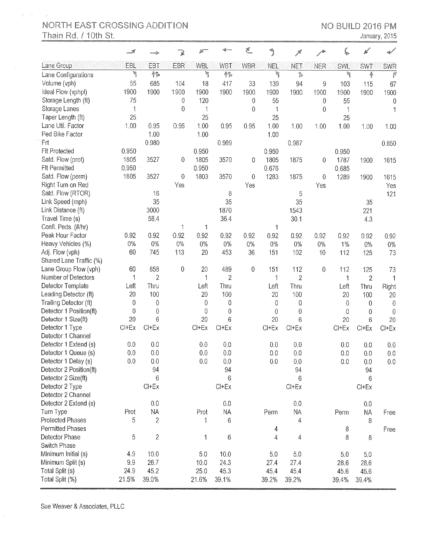$\hat{\xi}^{(1)}$  and

January, 2015

|                         | - 1     |                |              |             |                | €                |            | كلار           |                  |            | $\mathbb{R}^2$ |              |
|-------------------------|---------|----------------|--------------|-------------|----------------|------------------|------------|----------------|------------------|------------|----------------|--------------|
| Lane Group              | EBL     | EBT            | <b>EBR</b>   | <b>WBL</b>  | <b>WBT</b>     | <b>WBR</b>       | <b>NEL</b> | <b>NET</b>     | <b>NER</b>       | <b>SWL</b> | <b>SWT</b>     | <b>SWR</b>   |
| Lane Configurations     | e.      | 帏              |              | q           | 叠勤             |                  | ħ          | ţ,             |                  | ħ          | 叠              | Y            |
| Volume (vph)            | 55      | 685            | 104          | 18          | 417            | 33               | 139        | 94             | 9                | 103        | 115            | 67           |
| Ideal Flow (vphpl)      | 1900    | 1900           | 1900         | 1900        | 1900           | 1900             | 1900       | 1900           | 1900             | 1900       | 1900           | 1900         |
| Storage Length (ft)     | 75      |                | 0            | 120         |                | $\mathbf{0}$     | 55         |                | $\boldsymbol{0}$ | 55         |                | 0            |
| Storage Lanes           | 1       |                | 0            | 1           |                | 0                | 1          |                | 0                | 1          |                |              |
| Taper Length (ft)       | 25      |                |              | 25          |                |                  | 25         |                |                  | 25         |                |              |
| Lane Util. Factor       | 1.00    | 0.95           | 0.95         | 1.00        | 0.95           | 0.95             | 1.00       | 1.00           | 1.00             | 1.00       | 1.00           | 1.00         |
| Ped Bike Factor         |         | 1.00           |              | 1.00        |                |                  | 1.00       |                |                  |            |                |              |
| <b>Frt</b>              |         | 0.980          |              |             | 0.989          |                  |            | 0.987          |                  |            |                | 0.850        |
| FIt Protected           | 0.950   |                |              | 0.950       |                |                  | 0.950      |                |                  | 0.950      |                |              |
| Satd. Flow (prot)       | 1805    | 3527           | 0            | 1805        | 3570           | 0                | 1805       | 1875           | 0                | 1787       | 1900           | 1615         |
| <b>FIt Permitted</b>    | 0.950   |                |              | 0.950       |                |                  | 0.676      |                |                  | 0.685      |                |              |
| Satd. Flow (perm)       | 1805    | 3527           | 0            | 1803        | 3570           | 0                | 1283       | 1875           | $\boldsymbol{0}$ | 1289       | 1900           | 1615         |
| Right Turn on Red       |         |                | Yes          |             |                | Yes              |            |                | Yes              |            |                | Yes          |
| Satd. Flow (RTOR)       |         | 16             |              |             | 8              |                  |            | 5              |                  |            |                | 121          |
| Link Speed (mph)        |         | 35             |              |             | 35             |                  |            | 35             |                  |            | 35             |              |
| Link Distance (ft)      |         | 3000           |              |             | 1870           |                  |            | 1543           |                  |            | 221            |              |
| Travel Time (s)         |         | 58.4           |              |             | 36.4           |                  |            | 30.1           |                  |            | 4.3            |              |
| Confl. Peds. (#/hr)     |         |                |              |             |                |                  | 1          |                |                  |            |                |              |
| Peak Hour Factor        | 0.92    | 0.92           | 0.92         | 0.92        | 0.92           | 0.92             | 0.92       | 0.92           | 0.92             | 0.92       | 0.92           | 0.92         |
| Heavy Vehicles (%)      | $0\%$   | 0%             | $0\%$        | $0\%$       | 0%             | $0\%$            | 0%         | 0%             | $0\%$            | $1\%$      | 0%             | $0\%$        |
| Adj. Flow (vph)         | 60      | 745            | 113          | 20          | 453            | 36               | 151        | 102            | 10               | 112        | 125            | 73           |
| Shared Lane Traffic (%) |         |                |              |             |                |                  |            |                |                  |            |                |              |
| Lane Group Flow (vph)   | 60      | 858            | $\mathbf{0}$ | 20          | 489            | $\boldsymbol{0}$ | 151        | 112            | 0                | 112        | 125            | 73           |
| Number of Detectors     | 1       | $\overline{2}$ |              | 1           | $\overline{2}$ |                  | 1          | $\overline{2}$ |                  | 1          | $\overline{2}$ | 1            |
| Detector Template       | Left    | Thru           |              | Left        | Thru           |                  | Left       | Thru           |                  | Left       | Thru           |              |
| Leading Detector (ft)   | 20      | 100            |              | 20          | 100            |                  | 20         | 100            |                  | 20         | 100            | Right<br>20  |
| Trailing Detector (ft)  | 0       | $\mathbf{0}$   |              | 0           | 0              |                  | 0          | 0              |                  | $\theta$   | $\overline{0}$ | $\mathbf{0}$ |
| Detector 1 Position(ft) | 0       | $\mathbf{0}$   |              | $\mathbf 0$ | 0              |                  | 0          | $\pmb{0}$      |                  | 0          | 0              | $\Omega$     |
| Detector 1 Size(ft)     | 20      | 6              |              | 20          | 6              |                  | 20         | 6              |                  | 20         | 6              | 20           |
| Detector 1 Type         | $Cl+Ex$ | $Cl + Ex$      |              | CI+Ex       | $Cl + Ex$      |                  | $Cl + Ex$  | $Cl+Ex$        |                  | $Cl + Ex$  | $Cl + Ex$      | $Cl + Ex$    |
| Detector 1 Channel      |         |                |              |             |                |                  |            |                |                  |            |                |              |
| Detector 1 Extend (s)   | 0.0     | 0.0            |              | 0.0         | 0.0            |                  | 0.0        | 0.0            |                  | 0.0        | 0.0            | 0.0          |
| Detector 1 Queue (s)    | 0.0     | 0.0            |              | 0.0         | 0.0            |                  | 0.0        | 0.0            |                  | 0.0        | 0.0            | 0.0          |
| Detector 1 Delay (s)    | 0.0     | 0.0            |              | 0.0         | 0.0            |                  | $0.0\,$    | $0.0\,$        |                  | $0.0\,$    | 0.0            | $0.0\,$      |
| Detector 2 Position(ft) |         | 94             |              |             | 94             |                  |            | 94             |                  |            | 94             |              |
| Detector 2 Size(ft)     |         | 6              |              |             | 6              |                  |            | 6              |                  |            | 6              |              |
| Detector 2 Type         |         | $Cl+Ex$        |              |             | $Cl + Ex$      |                  |            | $Cl + Ex$      |                  |            | $Cl + Ex$      |              |
| Detector 2 Channel      |         |                |              |             |                |                  |            |                |                  |            |                |              |
| Detector 2 Extend (s)   |         | 0.0            |              |             | 0.0            |                  |            | 0.0            |                  |            | 0.0            |              |
| Turn Type               | Prot    | <b>NA</b>      |              | Prot        | <b>NA</b>      |                  | Perm       | <b>NA</b>      |                  | Perm       | <b>NA</b>      | Free         |
| Protected Phases        | 5       | $\overline{c}$ |              | 1           | 6              |                  |            | $\overline{A}$ |                  |            | 8              |              |
| Permitted Phases        |         |                |              |             |                |                  | 4          |                |                  | 8          |                | Free         |
| Detector Phase          | 5       | $\overline{c}$ |              | 1           | $\,6$          |                  | 4          | 4              |                  | 8          | 8              |              |
| Switch Phase            |         |                |              |             |                |                  |            |                |                  |            |                |              |
| Minimum Initial (s)     | 4.9     | 10.0           |              | 5.0         | 10.0           |                  | 5.0        | 5.0            |                  | 5.0        | 5.0            |              |
| Minimum Split (s)       | 9.9     | 26.7           |              | 10.0        | 24.3           |                  | 27.4       | 27.4           |                  | 28.6       | 28.6           |              |
| Total Split (s)         | 24.9    | 45.2           |              | 25.0        | 45.3           |                  | 45.4       | 45.4           |                  | 45.6       | 45.6           |              |
| Total Split (%)         | 21.5%   | 39.0%          |              | 21.6%       | 39.1%          |                  | 39.2%      | 39.2%          |                  |            |                |              |
|                         |         |                |              |             |                |                  |            |                |                  | 39.4%      | 39.4%          |              |

Sue Weaver & Associates, PLLC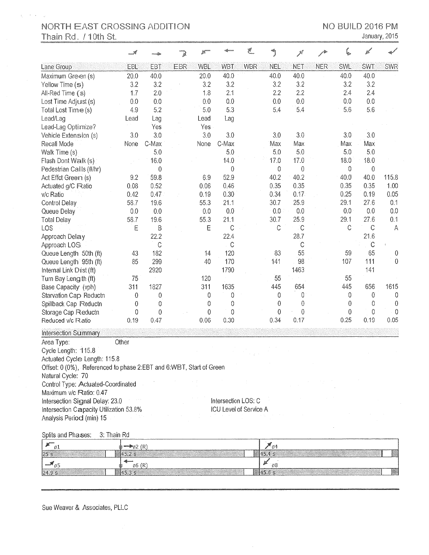$\bar{L}$  $\alpha = 1$ 

January, 2015

|                                                                     |             |                  |            | 舷           |                        | F.         |             | 术             |            |                  |              |                |
|---------------------------------------------------------------------|-------------|------------------|------------|-------------|------------------------|------------|-------------|---------------|------------|------------------|--------------|----------------|
| Lane Group                                                          | EBL         | <b>EBT</b>       | <b>EBR</b> | <b>WBL</b>  | WBT                    | <b>WBR</b> | <b>NEL</b>  | <b>NET</b>    | <b>NER</b> | <b>SWL</b>       | <b>SWT</b>   | <b>SWR</b>     |
| Maximum Green (s)                                                   | 20.0        | 40.0             |            | 20:0        | 40.0                   |            | 40.0        | 40.0          |            | 40.0             | 40.0         |                |
| Yellow Time (s)                                                     | 3.2         | 3.2              |            | 3.2         | 3.2                    |            | 3.2         | 3.2           |            | 3.2              | 3.2          |                |
| All-Red Time (s)                                                    | 1.7         | 2.0              |            | 1.8         | 2.1                    |            | 2.2         | 2.2           |            | 2.4              | 2.4          |                |
| Lost Time Adjust (s)                                                | 0.0         | 0.0              |            | 0.0         | 0.0                    |            | 0.0         | 0.0           |            | 0.0              | 0.0          |                |
| Total Lost Time (s)                                                 | 4.9         | 5.2              |            | 5.0         | 5.3                    |            | 5.4         | 5.4           |            | 5.6              | 5.6          |                |
| Lead/Lag                                                            | Lead        | Lag              |            | Lead        | Lag                    |            |             |               |            |                  |              |                |
| Lead-Lag Optimize?                                                  |             | Yes              |            | Yes         |                        |            |             |               |            |                  |              |                |
| Vehicle Extension (s)                                               | 3.0         | 3.0              |            | 3.0         | 3.0                    |            | 3.0         | 3.0           |            | 3.0              | 3.0          |                |
| Recall Mode                                                         | None        | C-Max            |            | None        | C-Max                  |            | Max         | Max           |            | Max              | Max          |                |
| Walk Time (s)                                                       |             | 5.0              |            |             | 5.0                    |            | 5.0         | 5.0           |            | 5.0              | 5.0          |                |
| Flash Dont Walk (s)                                                 |             | 16.0             |            |             | 14.0                   |            | 17.0        | 17.0          |            | 18.0             | 18.0         |                |
| Pedestrian Calls (#/hr)                                             |             | $\boldsymbol{0}$ |            |             | $\mathbf 0$            |            | 0           | $\mathbf 0$   |            | 0                | $\mathbf 0$  |                |
| Act Effct Green (s)                                                 | 9.2         | 59.8             |            | 6.9         | 52.9                   |            | 40.2        | 40.2          |            | 40.0             | 40.0         | 115.8          |
| Actuated g/C Ratio                                                  | 0.08        | 0.52             |            | 0.06        | 0.46                   |            | 0.35        | 0.35          |            | 0.35             | 0.35         | 1.00           |
| v/c Ratio                                                           | 0.42        | 0.47             |            | 0.19        | 0.30                   |            | 0.34        | 0.17          |            | 0.25             | 0.19         | 0.05           |
| Control Delay                                                       | 58.7        | 19.6             |            | 55.3        | 21.1                   |            | 30.7        | 25.9          |            | 29.1             | 27.6         | 0.1            |
| Queue Delay                                                         | 0.0         | 0.0              |            | 0.0         | 0.0                    |            | 0.0         | 0.0           |            | 0.0              | 0.0          | 0.0            |
| <b>Total Delay</b>                                                  | 58.7        | 19.6             |            | 55.3        | 21.1                   |            | 30.7        | 25.9          |            | 29.1             | 27.6         | 0.1            |
| LOS                                                                 | E           | Β                |            | E           | $\mathbb C$            |            | $\mathsf C$ | $\mathcal{C}$ |            | C                | $\mathsf{C}$ | $\mathsf{A}$   |
| Approach Delay                                                      |             | 22.2             |            |             | 22.4                   |            |             | 28.7          |            |                  | 21.6         |                |
| Approach LOS                                                        |             | C                |            |             | C                      |            |             | $\mathsf{C}$  |            |                  | $\mathsf C$  |                |
| Queue Length 50th (ft)                                              | 43          | 182              |            | 14          | 120                    |            | 83          | 55            |            | 59               | 65           | 0              |
| Queue Length 95th (ft)                                              | 85          | 299              |            | 40          | 170                    |            | 141         | 98            |            | 107              | 111          | $\overline{0}$ |
| Internal Link Dist (ft)                                             |             | 2920             |            |             | 1790                   |            |             | 1463          |            |                  | 141          |                |
| Turn Bay Length (ft)                                                | 75          |                  |            | 120         |                        |            | 55          |               |            | 55               |              |                |
| Base Capacity (vph)                                                 | 311         | 1827             |            | 311         | 1635                   |            | 445         | 654           |            | 445              | 656          | 1615           |
| Starvation Cap Reductn                                              | 0           | 0                |            | 0           | 0                      |            | 0           | 0             |            | 0                | 0            | 0              |
| Spillback Cap Reductn                                               | 0           | $\pmb{0}$        |            | 0           | 0                      |            | 0           | 0             |            | 0                | 0            | 0              |
| Storage Cap Reductn                                                 | 0           | $\mathbf 0$      |            | $\mathbf 0$ | $\boldsymbol{0}$       |            | 0           | 0             |            | $\boldsymbol{0}$ | $\pmb{0}$    | 0              |
| Reduced v/c Ratio                                                   | 0.19        | 0.47             |            | 0.06        | 0.30                   |            | 0.34        | 0.17          |            | 0.25             | 0.19         | 0.05           |
| Intersection Summary                                                |             |                  |            |             |                        |            |             |               |            |                  |              |                |
| Area Type:                                                          | Other       |                  |            |             |                        |            |             |               |            |                  |              |                |
| Cycle Length: 115.8                                                 |             |                  |            |             |                        |            |             |               |            |                  |              |                |
| Actuated Cycle Length: 115.8                                        |             |                  |            |             |                        |            |             |               |            |                  |              |                |
| Offset: 0 (0%), Referenced to phase 2:EBT and 6:WBT, Start of Green |             |                  |            |             |                        |            |             |               |            |                  |              |                |
| Natural Cycle: 70                                                   |             |                  |            |             |                        |            |             |               |            |                  |              |                |
| Control Type: Actuated-Coordinated                                  |             |                  |            |             |                        |            |             |               |            |                  |              |                |
| Maximum v/c Ratio: 0.47                                             |             |                  |            |             |                        |            |             |               |            |                  |              |                |
| Intersection Signal Delay: 23.0                                     |             |                  |            |             | Intersection LOS: C    |            |             |               |            |                  |              |                |
| Intersection Capacity Utilization 53.8%                             |             |                  |            |             | ICU Level of Service A |            |             |               |            |                  |              |                |
| Analysis Period (min) 15                                            |             |                  |            |             |                        |            |             |               |            |                  |              |                |
| Splits and Phases:                                                  | 3: Thain Rd |                  |            |             |                        |            |             |               |            |                  |              |                |

|        | $\rightarrow$ ez $(R)$ | * 34    |    |
|--------|------------------------|---------|----|
| 25 s   | 15.2 s                 | 145.4 s |    |
|        | 06(R)                  | ុមុទ    |    |
| 24.9 s | 45,3 s                 | 145.6 s | ä. |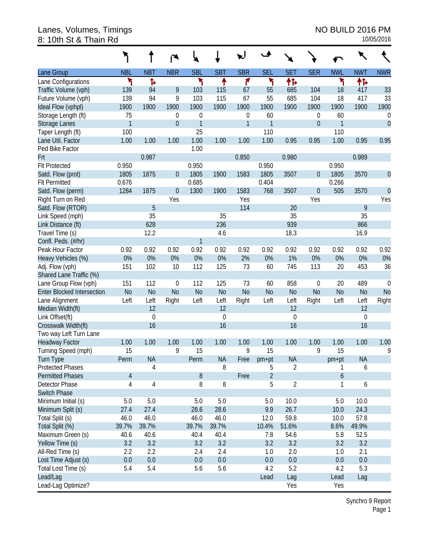#### Lanes, Volumes, Timings No. 2008 PM 8: 10th St & Thain Rd 10/05/2016

|                                   |              |                  | ◠              | ×.               |                |              | ٠              | ×.             |                |                |                |                  |
|-----------------------------------|--------------|------------------|----------------|------------------|----------------|--------------|----------------|----------------|----------------|----------------|----------------|------------------|
| Lane Group                        | <b>NBL</b>   | <b>NBT</b>       | <b>NBR</b>     | <b>SBL</b>       | <b>SBT</b>     | <b>SBR</b>   | <b>SEL</b>     | <b>SET</b>     | <b>SER</b>     | <b>NWL</b>     | <b>NWT</b>     | <b>NWR</b>       |
| Lane Configurations               | ۲            | Ъ                |                | ۲                | ↟              | ۴            | ١              | ተኈ             |                | ۲              | ተኈ             |                  |
| Traffic Volume (vph)              | 139          | 94               | 9              | 103              | 115            | 67           | 55             | 685            | 104            | 18             | 417            | 33               |
| Future Volume (vph)               | 139          | 94               | 9              | 103              | 115            | 67           | 55             | 685            | 104            | 18             | 417            | 33               |
| Ideal Flow (vphpl)                | 1900         | 1900             | 1900           | 1900             | 1900           | 1900         | 1900           | 1900           | 1900           | 1900           | 1900           | 1900             |
| Storage Length (ft)               | 75           |                  | 0              | $\boldsymbol{0}$ |                | 0            | 60             |                | 0              | 60             |                | $\boldsymbol{0}$ |
| <b>Storage Lanes</b>              | $\mathbf{1}$ |                  | $\overline{0}$ | 1                |                | $\mathbf{1}$ | $\mathbf{1}$   |                | $\mathbf 0$    | 1              |                | $\overline{0}$   |
| Taper Length (ft)                 | 100          |                  |                | 25               |                |              | 110            |                |                | 110            |                |                  |
| Lane Util. Factor                 | 1.00         | 1.00             | 1.00           | 1.00             | 1.00           | 1.00         | 1.00           | 0.95           | 0.95           | 1.00           | 0.95           | 0.95             |
| Ped Bike Factor                   |              |                  |                | 1.00             |                |              |                |                |                |                |                |                  |
| Frt                               |              | 0.987            |                |                  |                | 0.850        |                | 0.980          |                |                | 0.989          |                  |
| <b>Flt Protected</b>              | 0.950        |                  |                | 0.950            |                |              | 0.950          |                |                | 0.950          |                |                  |
| Satd. Flow (prot)                 | 1805         | 1875             | $\overline{0}$ | 1805             | 1900           | 1583         | 1805           | 3507           | $\mathbf 0$    | 1805           | 3570           | $\overline{0}$   |
| <b>Flt Permitted</b>              | 0.676        |                  |                | 0.685            |                |              | 0.404          |                |                | 0.266          |                |                  |
| Satd. Flow (perm)                 | 1284         | 1875             | $\overline{0}$ | 1300             | 1900           | 1583         | 768            | 3507           | $\overline{0}$ | 505            | 3570           | $\overline{0}$   |
| Right Turn on Red                 |              |                  | Yes            |                  |                | Yes          |                |                | Yes            |                |                | Yes              |
| Satd. Flow (RTOR)                 |              | 5                |                |                  |                | 114          |                | 20             |                |                | 9              |                  |
| Link Speed (mph)                  |              | 35               |                |                  | 35             |              |                | 35             |                |                | 35             |                  |
| Link Distance (ft)                |              | 628              |                |                  | 236            |              |                | 939            |                |                | 866            |                  |
| Travel Time (s)                   |              | 12.2             |                |                  | 4.6            |              |                | 18.3           |                |                | 16.9           |                  |
| Confl. Peds. (#/hr)               |              |                  |                | 1                |                |              |                |                |                |                |                |                  |
| Peak Hour Factor                  | 0.92         | 0.92             | 0.92           | 0.92             | 0.92           | 0.92         | 0.92           | 0.92           | 0.92           | 0.92           | 0.92           | 0.92             |
| Heavy Vehicles (%)                | 0%           | 0%               | 0%             | 0%               | 0%             | 2%           | 0%             | 1%             | 0%             | 0%             | 0%             | $0\%$            |
| Adj. Flow (vph)                   | 151          | 102              | 10             | 112              | 125            | 73           | 60             | 745            | 113            | 20             | 453            | 36               |
| Shared Lane Traffic (%)           |              |                  |                |                  |                |              |                |                |                |                |                |                  |
| Lane Group Flow (vph)             | 151          | 112              | $\mathbf 0$    | 112              | 125            | 73           | 60             | 858            | 0              | 20             | 489            | $\boldsymbol{0}$ |
| <b>Enter Blocked Intersection</b> | <b>No</b>    | N <sub>o</sub>   | N <sub>0</sub> | <b>No</b>        | N <sub>o</sub> | <b>No</b>    | N <sub>o</sub> | N <sub>o</sub> | <b>No</b>      | N <sub>o</sub> | N <sub>o</sub> | <b>No</b>        |
| Lane Alignment                    | Left         | Left             | Right          | Left             | Left           | Right        | Left           | Left           | Right          | Left           | Left           | Right            |
| Median Width(ft)                  |              | 12               |                |                  | 12             |              |                | 12             |                |                | 12             |                  |
| Link Offset(ft)                   |              | $\boldsymbol{0}$ |                |                  | $\mathbf 0$    |              |                | $\mathbf 0$    |                |                | 0              |                  |
| Crosswalk Width(ft)               |              | 16               |                |                  | 16             |              |                | 16             |                |                | 16             |                  |
| Two way Left Turn Lane            |              |                  |                |                  |                |              |                |                |                |                |                |                  |
| <b>Headway Factor</b>             | 1.00         | 1.00             | 1.00           | 1.00             | 1.00           | 1.00         | 1.00           | 1.00           | 1.00           | 1.00           | 1.00           | 1.00             |
| Turning Speed (mph)               | 15           |                  | 9              | 15               |                | 9            | 15             |                | 9              | 15             |                | 9                |
| Turn Type                         | Perm         | <b>NA</b>        |                | Perm             | <b>NA</b>      | Free         | $pm+pt$        | <b>NA</b>      |                | $pm+pt$        | <b>NA</b>      |                  |
| <b>Protected Phases</b>           |              | 4                |                |                  | 8              |              | 5              | $\overline{2}$ |                | 1              | 6              |                  |
| <b>Permitted Phases</b>           | 4            |                  |                | 8                |                | Free         | $\overline{2}$ |                |                | 6              |                |                  |
| Detector Phase                    | 4            | $\overline{4}$   |                | 8                | 8              |              | 5              | $\overline{2}$ |                | 1              | 6              |                  |
| <b>Switch Phase</b>               |              |                  |                |                  |                |              |                |                |                |                |                |                  |
| Minimum Initial (s)               | 5.0          | 5.0              |                | 5.0              | 5.0            |              | 5.0            | 10.0           |                | 5.0            | 10.0           |                  |
| Minimum Split (s)                 | 27.4         | 27.4             |                | 28.6             | 28.6           |              | 9.9            | 26.7           |                | 10.0           | 24.3           |                  |
| Total Split (s)                   | 46.0         | 46.0             |                | 46.0             | 46.0           |              | 12.0           | 59.8           |                | 10.0           | 57.8           |                  |
| Total Split (%)                   | 39.7%        | 39.7%            |                | 39.7%            | 39.7%          |              | 10.4%          | 51.6%          |                | 8.6%           | 49.9%          |                  |
| Maximum Green (s)                 | 40.6         | 40.6             |                | 40.4             | 40.4           |              | 7.8            | 54.6           |                | 5.8            | 52.5           |                  |
| Yellow Time (s)                   | 3.2          | 3.2              |                | 3.2              | 3.2            |              | 3.2            | 3.2            |                | 3.2            | 3.2            |                  |
| All-Red Time (s)                  | 2.2          | 2.2              |                | 2.4              | 2.4            |              | 1.0            | 2.0            |                | 1.0            | 2.1            |                  |
| Lost Time Adjust (s)              | 0.0          | 0.0              |                | 0.0              | 0.0            |              | 0.0            | 0.0            |                | 0.0            | 0.0            |                  |
| Total Lost Time (s)               | 5.4          | 5.4              |                | 5.6              | 5.6            |              | 4.2            | 5.2            |                | 4.2            | 5.3            |                  |
| Lead/Lag                          |              |                  |                |                  |                |              | Lead           | Lag            |                | Lead           | Lag            |                  |
| Lead-Lag Optimize?                |              |                  |                |                  |                |              |                | Yes            |                | Yes            |                |                  |

Synchro 9 Report Page 1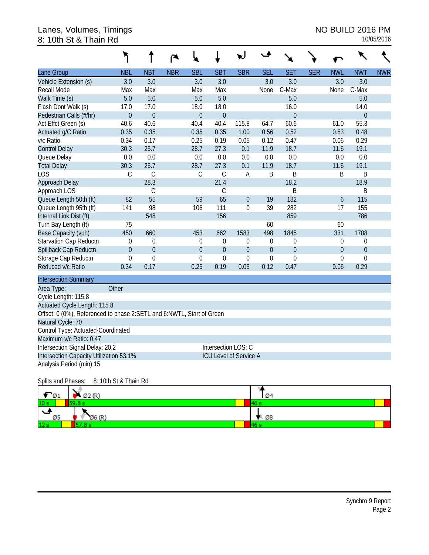#### Lanes, Volumes, Timings No. 2008 PM 8: 10th St & Thain Rd 10/05/2016

|                                                                       |                       |                  | ۴          | ⊾                |                |                               | 、▲               |                  |            |                  |                  |            |
|-----------------------------------------------------------------------|-----------------------|------------------|------------|------------------|----------------|-------------------------------|------------------|------------------|------------|------------------|------------------|------------|
| Lane Group                                                            | <b>NBL</b>            | <b>NBT</b>       | <b>NBR</b> | <b>SBL</b>       | <b>SBT</b>     | <b>SBR</b>                    | <b>SEL</b>       | <b>SET</b>       | <b>SER</b> | <b>NWL</b>       | <b>NWT</b>       | <b>NWR</b> |
| Vehicle Extension (s)                                                 | 3.0                   | 3.0              |            | 3.0              | 3.0            |                               | 3.0              | 3.0              |            | 3.0              | 3.0              |            |
| Recall Mode                                                           | Max                   | Max              |            | Max              | Max            |                               | None             | C-Max            |            | None             | C-Max            |            |
| Walk Time (s)                                                         | 5.0                   | 5.0              |            | 5.0              | 5.0            |                               |                  | 5.0              |            |                  | 5.0              |            |
| Flash Dont Walk (s)                                                   | 17.0                  | 17.0             |            | 18.0             | 18.0           |                               |                  | 16.0             |            |                  | 14.0             |            |
| Pedestrian Calls (#/hr)                                               | $\boldsymbol{0}$      | $\overline{0}$   |            | $\mathbf 0$      | $\overline{0}$ |                               |                  | $\overline{0}$   |            |                  | $\overline{0}$   |            |
| Act Effct Green (s)                                                   | 40.6                  | 40.6             |            | 40.4             | 40.4           | 115.8                         | 64.7             | 60.6             |            | 61.0             | 55.3             |            |
| Actuated g/C Ratio                                                    | 0.35                  | 0.35             |            | 0.35             | 0.35           | 1.00                          | 0.56             | 0.52             |            | 0.53             | 0.48             |            |
| v/c Ratio                                                             | 0.34                  | 0.17             |            | 0.25             | 0.19           | 0.05                          | 0.12             | 0.47             |            | 0.06             | 0.29             |            |
| <b>Control Delay</b>                                                  | 30.3                  | 25.7             |            | 28.7             | 27.3           | 0.1                           | 11.9             | 18.7             |            | 11.6             | 19.1             |            |
| Queue Delay                                                           | 0.0                   | 0.0              |            | 0.0              | 0.0            | 0.0                           | 0.0              | 0.0              |            | 0.0              | 0.0              |            |
| <b>Total Delay</b>                                                    | 30.3                  | 25.7             |            | 28.7             | 27.3           | 0.1                           | 11.9             | 18.7             |            | 11.6             | 19.1             |            |
| LOS                                                                   | $\mathcal{C}$         | $\mathcal{C}$    |            | $\mathsf C$      | $\mathcal{C}$  | A                             | $\sf B$          | B                |            | B                | B                |            |
| Approach Delay                                                        |                       | 28.3             |            |                  | 21.4           |                               |                  | 18.2             |            |                  | 18.9             |            |
| Approach LOS                                                          |                       | $\mathsf C$      |            |                  | $\mathsf{C}$   |                               |                  | B                |            |                  | $\sf B$          |            |
| Queue Length 50th (ft)                                                | 82                    | 55               |            | 59               | 65             | $\mathbf{0}$                  | 19               | 182              |            | $\boldsymbol{6}$ | 115              |            |
| Queue Length 95th (ft)                                                | 141                   | 98               |            | 106              | 111            | $\boldsymbol{0}$              | 39               | 282              |            | 17               | 155              |            |
| Internal Link Dist (ft)                                               |                       | 548              |            |                  | 156            |                               |                  | 859              |            |                  | 786              |            |
| Turn Bay Length (ft)                                                  | 75                    |                  |            |                  |                |                               | 60               |                  |            | 60               |                  |            |
| Base Capacity (vph)                                                   | 450                   | 660              |            | 453              | 662            | 1583                          | 498              | 1845             |            | 331              | 1708             |            |
| Starvation Cap Reductn                                                | $\mathbf 0$           | $\mathbf 0$      |            | $\theta$         | 0              | 0                             | $\boldsymbol{0}$ | $\mathbf 0$      |            | $\mathbf 0$      | 0                |            |
| Spillback Cap Reductn                                                 | $\boldsymbol{0}$      | $\boldsymbol{0}$ |            | $\mathbf{0}$     | $\overline{0}$ | $\boldsymbol{0}$              | $\boldsymbol{0}$ | $\theta$         |            | $\mathbf{0}$     | $\boldsymbol{0}$ |            |
| Storage Cap Reductn                                                   | $\mathbf 0$           | $\mathbf 0$      |            | $\boldsymbol{0}$ | $\overline{0}$ | $\mathbf 0$                   | 0                | $\boldsymbol{0}$ |            | 0                | $\mathbf 0$      |            |
| Reduced v/c Ratio                                                     | 0.34                  | 0.17             |            | 0.25             | 0.19           | 0.05                          | 0.12             | 0.47             |            | 0.06             | 0.29             |            |
| <b>Intersection Summary</b>                                           |                       |                  |            |                  |                |                               |                  |                  |            |                  |                  |            |
| Area Type:                                                            | Other                 |                  |            |                  |                |                               |                  |                  |            |                  |                  |            |
| Cycle Length: 115.8                                                   |                       |                  |            |                  |                |                               |                  |                  |            |                  |                  |            |
| Actuated Cycle Length: 115.8                                          |                       |                  |            |                  |                |                               |                  |                  |            |                  |                  |            |
| Offset: 0 (0%), Referenced to phase 2:SETL and 6:NWTL, Start of Green |                       |                  |            |                  |                |                               |                  |                  |            |                  |                  |            |
| Natural Cycle: 70                                                     |                       |                  |            |                  |                |                               |                  |                  |            |                  |                  |            |
| Control Type: Actuated-Coordinated                                    |                       |                  |            |                  |                |                               |                  |                  |            |                  |                  |            |
| Maximum v/c Ratio: 0.47                                               |                       |                  |            |                  |                |                               |                  |                  |            |                  |                  |            |
| Intersection Signal Delay: 20.2                                       | Intersection LOS: C   |                  |            |                  |                |                               |                  |                  |            |                  |                  |            |
| Intersection Capacity Utilization 53.1%                               |                       |                  |            |                  |                | <b>ICU Level of Service A</b> |                  |                  |            |                  |                  |            |
| Analysis Period (min) 15                                              |                       |                  |            |                  |                |                               |                  |                  |            |                  |                  |            |
| Splits and Phases:                                                    | 8: 10th St & Thain Rd |                  |            |                  |                |                               |                  |                  |            |                  |                  |            |

| $\blacksquare$  | $\bigwedge$ Ø2 (R) | <b>Ø4</b>                  |
|-----------------|--------------------|----------------------------|
| 10 <sub>s</sub> | 59.8 s             | <b>461</b>                 |
| ى<br>Ø5         | Ø6(R)              | $\blacksquare$ $\oslash$ 8 |
| 12 <sub>s</sub> | 57.8 s.            | 46 <sub>5</sub>            |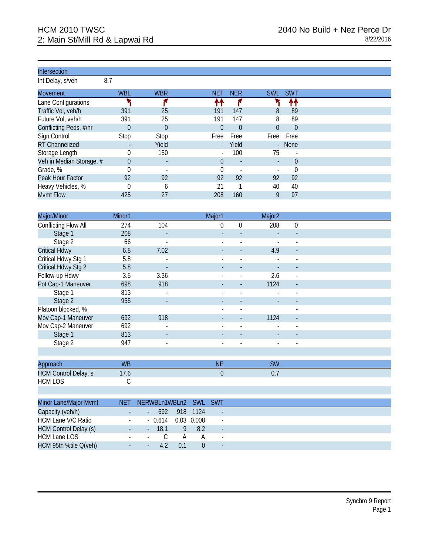Int Delay, s/veh 8.7

| .                        |            |                          |            |                          |            |            |
|--------------------------|------------|--------------------------|------------|--------------------------|------------|------------|
| <b>Movement</b>          | <b>WBL</b> | <b>WBR</b>               | <b>NET</b> | <b>NER</b>               | <b>SWL</b> | <b>SWT</b> |
| Lane Configurations      |            |                          | ቶቶ         |                          |            | ቶቶ         |
| Traffic Vol, veh/h       | 391        | 25                       | 191        | 147                      | 8          | 89         |
| Future Vol, veh/h        | 391        | 25                       | 191        | 147                      | 8          | 89         |
| Conflicting Peds, #/hr   | $\theta$   | $\Omega$                 | 0          | $\Omega$                 | $\Omega$   | $\theta$   |
| Sign Control             | Stop       | Stop                     | Free       | Free                     | Free       | Free       |
| <b>RT Channelized</b>    |            | Yield                    | $\sim$     | Yield                    |            | - None     |
| Storage Length           |            | 150                      |            | 100                      | 75         |            |
| Veh in Median Storage, # | $\theta$   | $\overline{\phantom{a}}$ | 0          | $\overline{\phantom{a}}$ |            | $\theta$   |
| Grade, %                 |            |                          |            |                          |            |            |
| Peak Hour Factor         | 92         | 92                       | 92         | 92                       | 92         | 92         |
| Heavy Vehicles, %        |            | h                        | 21         |                          | 40         | 40         |
| <b>Mvmt Flow</b>         | 425        | 27                       | 208        | 160                      | 9          | 97         |

| Major/Minor          | Minor1 |                          | Major1                   |                | Major <sub>2</sub> |                          |  |
|----------------------|--------|--------------------------|--------------------------|----------------|--------------------|--------------------------|--|
| Conflicting Flow All | 274    | 104                      | 0                        | $\Omega$       | 208                | $\mathbf 0$              |  |
| Stage 1              | 208    |                          |                          |                |                    |                          |  |
| Stage 2              | 66     | ٠                        |                          |                |                    | $\overline{\phantom{0}}$ |  |
| <b>Critical Hdwy</b> | 6.8    | 7.02                     | $\overline{\phantom{a}}$ |                | 4.9                | $\overline{\phantom{a}}$ |  |
| Critical Hdwy Stg 1  | 5.8    |                          |                          |                |                    |                          |  |
| Critical Hdwy Stg 2  | 5.8    | $\overline{\phantom{a}}$ |                          |                |                    |                          |  |
| Follow-up Hdwy       | 3.5    | 3.36                     |                          | $\overline{a}$ | 2.6                | $\overline{\phantom{a}}$ |  |
| Pot Cap-1 Maneuver   | 698    | 918                      |                          |                | 1124               |                          |  |
| Stage 1              | 813    | $\overline{\phantom{a}}$ |                          |                |                    |                          |  |
| Stage 2              | 955    |                          |                          |                |                    |                          |  |
| Platoon blocked, %   |        |                          | $\overline{\phantom{0}}$ | $\blacksquare$ |                    | $\blacksquare$           |  |
| Mov Cap-1 Maneuver   | 692    | 918                      | $\blacksquare$           |                | 1124               | $\blacksquare$           |  |
| Mov Cap-2 Maneuver   | 692    | ٠                        | $\overline{\phantom{0}}$ |                |                    |                          |  |
| Stage 1              | 813    | $\overline{\phantom{a}}$ |                          |                |                    |                          |  |
| Stage 2              | 947    | $\overline{\phantom{a}}$ |                          |                |                    | $\overline{\phantom{a}}$ |  |
|                      |        |                          |                          |                |                    |                          |  |

| Approach             | <b>WB</b> | <b>A</b> IF<br>NE | SW   |  |
|----------------------|-----------|-------------------|------|--|
| HCM Control Delay, s | 7.U       |                   | υ. ι |  |
| <b>HCM LOS</b>       |           |                   |      |  |

| Minor Lane/Major Mvmt        | <b>NET</b>     | NERWBLn1WBLn2 SWL SWT                       |     |              |                          |  |
|------------------------------|----------------|---------------------------------------------|-----|--------------|--------------------------|--|
| Capacity (veh/h)             | $\blacksquare$ | $\sim$                                      |     | 692 918 1124 | $\overline{\phantom{a}}$ |  |
| HCM Lane V/C Ratio           | $\sim$         | $-0.614$ 0.03 0.008                         |     |              | $\overline{\phantom{a}}$ |  |
| <b>HCM Control Delay (s)</b> | <u>е т</u>     | - 18.1<br>l a l                             |     | 9 82         | $\overline{\phantom{a}}$ |  |
| <b>HCM Lane LOS</b>          |                | C<br>$\Delta \phi = 0.01$ and $\Delta \phi$ | А   | A            | $\overline{\phantom{a}}$ |  |
| HCM 95th %tile Q(veh)        | $\sim$         | 42<br>$\sim$                                | 0.1 |              | $\overline{\phantom{a}}$ |  |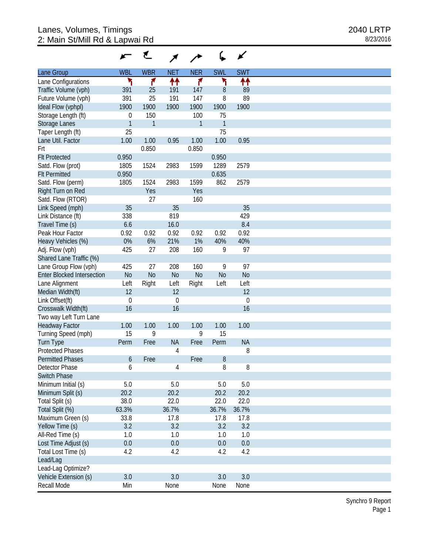|                                   |              | ₹            |             |              |              |                |
|-----------------------------------|--------------|--------------|-------------|--------------|--------------|----------------|
| Lane Group                        | <b>WBL</b>   | <b>WBR</b>   | <b>NET</b>  | <b>NER</b>   | <b>SWL</b>   | <b>SWT</b>     |
| Lane Configurations               | ۲            | ۴            | ↟↟          | ۴            | ٦            | ↟↟             |
| Traffic Volume (vph)              | 391          | 25           | 191         | 147          | $\, 8$       | 89             |
| Future Volume (vph)               | 391          | 25           | 191         | 147          | 8            | 89             |
| Ideal Flow (vphpl)                | 1900         | 1900         | 1900        | 1900         | 1900         | 1900           |
| Storage Length (ft)               | $\theta$     | 150          |             | 100          | 75           |                |
| Storage Lanes                     | $\mathbf{1}$ | $\mathbf{1}$ |             | $\mathbf{1}$ | $\mathbf{1}$ |                |
| Taper Length (ft)                 | 25           |              |             |              | 75           |                |
| Lane Util. Factor                 | 1.00         | 1.00         | 0.95        | 1.00         | 1.00         | 0.95           |
| Frt                               |              | 0.850        |             | 0.850        |              |                |
| <b>Flt Protected</b>              | 0.950        |              |             |              | 0.950        |                |
|                                   |              |              | 2983        | 1599         |              | 2579           |
| Satd. Flow (prot)                 | 1805         | 1524         |             |              | 1289         |                |
| <b>Flt Permitted</b>              | 0.950        |              |             |              | 0.635        |                |
| Satd. Flow (perm)                 | 1805         | 1524         | 2983        | 1599         | 862          | 2579           |
| Right Turn on Red                 |              | Yes          |             | Yes          |              |                |
| Satd. Flow (RTOR)                 |              | 27           |             | 160          |              |                |
| Link Speed (mph)                  | 35           |              | 35          |              |              | 35             |
| Link Distance (ft)                | 338          |              | 819         |              |              | 429            |
| Travel Time (s)                   | 6.6          |              | 16.0        |              |              | 8.4            |
| Peak Hour Factor                  | 0.92         | 0.92         | 0.92        | 0.92         | 0.92         | 0.92           |
| Heavy Vehicles (%)                | 0%           | 6%           | 21%         | 1%           | 40%          | 40%            |
| Adj. Flow (vph)                   | 425          | 27           | 208         | 160          | 9            | 97             |
| Shared Lane Traffic (%)           |              |              |             |              |              |                |
| Lane Group Flow (vph)             | 425          | 27           | 208         | 160          | 9            | 97             |
| <b>Enter Blocked Intersection</b> | No           | No           | No          | No           | <b>No</b>    | N <sub>o</sub> |
| Lane Alignment                    | Left         | Right        | Left        | Right        | Left         | Left           |
| Median Width(ft)                  | 12           |              | 12          |              |              | 12             |
| Link Offset(ft)                   | $\mathbf 0$  |              | $\mathbf 0$ |              |              | $\mathbf 0$    |
| Crosswalk Width(ft)               | 16           |              | 16          |              |              | 16             |
| Two way Left Turn Lane            |              |              |             |              |              |                |
| <b>Headway Factor</b>             | 1.00         | 1.00         | 1.00        | 1.00         | 1.00         | 1.00           |
| Turning Speed (mph)               | 15           | 9            |             | 9            | 15           |                |
| <b>Turn Type</b>                  | Perm         | Free         | <b>NA</b>   | Free         | Perm         | <b>NA</b>      |
| <b>Protected Phases</b>           |              |              | 4           |              |              | 8              |
| <b>Permitted Phases</b>           |              |              |             |              |              |                |
|                                   | 6            | Free         |             | Free         | 8            |                |
| Detector Phase                    | 6            |              | 4           |              | 8            | 8              |
| <b>Switch Phase</b>               |              |              |             |              |              |                |
| Minimum Initial (s)               | 5.0          |              | $5.0\,$     |              | 5.0          | 5.0            |
| Minimum Split (s)                 | 20.2         |              | 20.2        |              | 20.2         | 20.2           |
| Total Split (s)                   | 38.0         |              | 22.0        |              | 22.0         | 22.0           |
| Total Split (%)                   | 63.3%        |              | 36.7%       |              | 36.7%        | 36.7%          |
| Maximum Green (s)                 | 33.8         |              | 17.8        |              | 17.8         | 17.8           |
| Yellow Time (s)                   | 3.2          |              | 3.2         |              | 3.2          | 3.2            |
| All-Red Time (s)                  | 1.0          |              | 1.0         |              | 1.0          | 1.0            |
| Lost Time Adjust (s)              | $0.0\,$      |              | $0.0\,$     |              | 0.0          | $0.0\,$        |
| Total Lost Time (s)               | 4.2          |              | 4.2         |              | 4.2          | 4.2            |
| Lead/Lag                          |              |              |             |              |              |                |
| Lead-Lag Optimize?                |              |              |             |              |              |                |
| Vehicle Extension (s)             | 3.0          |              | 3.0         |              | 3.0          | 3.0            |
| Recall Mode                       | Min          |              | None        |              | None         | None           |
|                                   |              |              |             |              |              |                |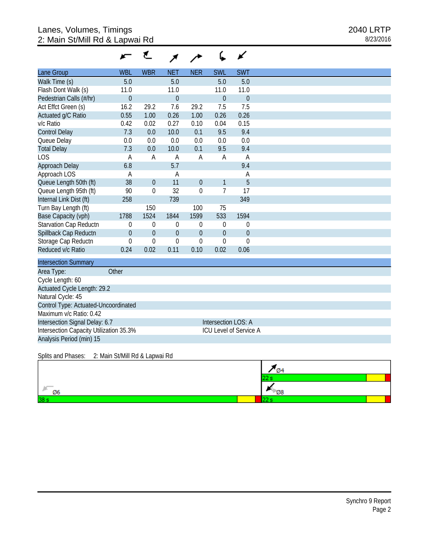|                                      |                | ť                |                |                |                | ∡              |
|--------------------------------------|----------------|------------------|----------------|----------------|----------------|----------------|
| Lane Group                           | <b>WBL</b>     | <b>WBR</b>       | <b>NET</b>     | <b>NER</b>     | <b>SWL</b>     | <b>SWT</b>     |
| Walk Time (s)                        | 5.0            |                  | 5.0            |                | 5.0            | 5.0            |
| Flash Dont Walk (s)                  | 11.0           |                  | 11.0           |                | 11.0           | 11.0           |
| Pedestrian Calls (#/hr)              | $\overline{0}$ |                  | $\overline{0}$ |                | $\overline{0}$ | $\overline{0}$ |
| Act Effct Green (s)                  | 16.2           | 29.2             | 7.6            | 29.2           | 7.5            | 7.5            |
| Actuated g/C Ratio                   | 0.55           | 1.00             | 0.26           | 1.00           | 0.26           | 0.26           |
| v/c Ratio                            | 0.42           | 0.02             | 0.27           | 0.10           | 0.04           | 0.15           |
| <b>Control Delay</b>                 | 7.3            | 0.0              | 10.0           | 0.1            | 9.5            | 9.4            |
| Queue Delay                          | 0.0            | 0.0              | 0.0            | 0.0            | 0.0            | 0.0            |
| <b>Total Delay</b>                   | 7.3            | 0.0              | 10.0           | 0.1            | 9.5            | 9.4            |
| <b>LOS</b>                           | Α              | Α                | A              | Α              | Α              | Α              |
| Approach Delay                       | 6.8            |                  | 5.7            |                |                | 9.4            |
| Approach LOS                         | Α              |                  | Α              |                |                | Α              |
| Queue Length 50th (ft)               | 38             | $\overline{0}$   | 11             | $\overline{0}$ | $\mathbf{1}$   | 5              |
| Queue Length 95th (ft)               | 90             | $\mathbf 0$      | 32             | $\overline{0}$ | $\overline{7}$ | 17             |
| Internal Link Dist (ft)              | 258            |                  | 739            |                |                | 349            |
| Turn Bay Length (ft)                 |                | 150              |                | 100            | 75             |                |
| Base Capacity (vph)                  | 1788           | 1524             | 1844           | 1599           | 533            | 1594           |
| Starvation Cap Reductn               | 0              | $\mathbf 0$      | $\theta$       | 0              | $\theta$       | $\mathbf{0}$   |
| Spillback Cap Reductn                | $\mathbf{0}$   | $\boldsymbol{0}$ | $\overline{0}$ | $\mathbf 0$    | $\overline{0}$ | $\theta$       |
| Storage Cap Reductn                  | $\overline{0}$ | $\overline{0}$   | $\overline{0}$ | 0              | $\Omega$       | $\overline{0}$ |
| Reduced v/c Ratio                    | 0.24           | 0.02             | 0.11           | 0.10           | 0.02           | 0.06           |
| <b>Intersection Summary</b>          |                |                  |                |                |                |                |
| Area Type:                           | Other          |                  |                |                |                |                |
| Cycle Length: 60                     |                |                  |                |                |                |                |
| Actuated Cycle Length: 29.2          |                |                  |                |                |                |                |
| Natural Cycle: 45                    |                |                  |                |                |                |                |
| Control Type: Actuated-Uncoordinated |                |                  |                |                |                |                |
| Maximum v/c Ratio: 0.42              |                |                  |                |                |                |                |

Intersection Signal Delay: 6.7 Intersection LOS: A Intersection Capacity Utilization 35.3% ICU Level of Service A Analysis Period (min) 15

Splits and Phases: 2: Main St/Mill Rd & Lapwai Rd

|    | 74        |
|----|-----------|
|    |           |
| Ø6 | <b>08</b> |
| 38 |           |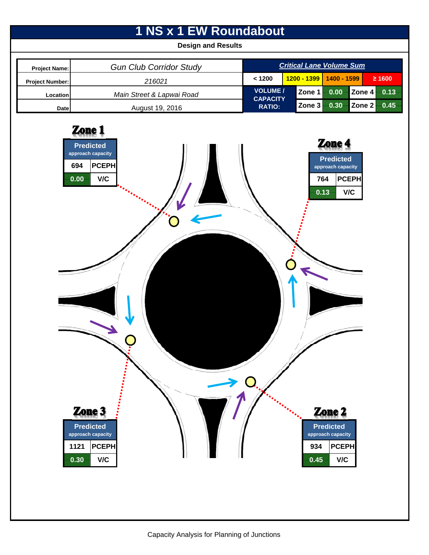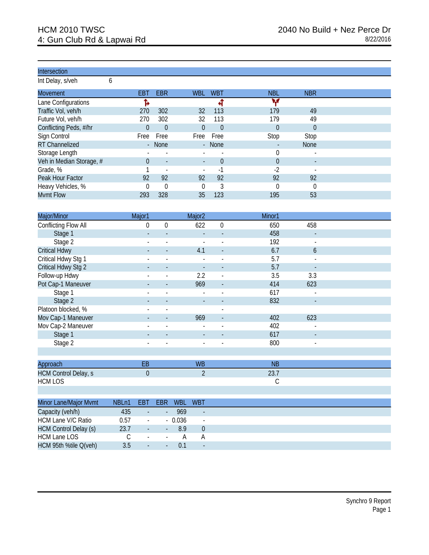Int Delay, s/veh 6

| <b>Movement</b>          | EBT            | <b>EBR</b>               | <b>WBL</b>               | <b>WBT</b> | <b>NBL</b> | <b>NBR</b>  |
|--------------------------|----------------|--------------------------|--------------------------|------------|------------|-------------|
| Lane Configurations      |                |                          |                          |            | v          |             |
| Traffic Vol, veh/h       | 270            | 302                      | 32                       | 113        | 179        | 49          |
| Future Vol, veh/h        | 270            | 302                      | 32                       | 113        | 179        | 49          |
| Conflicting Peds, #/hr   | $\theta$       | $\Omega$                 | 0                        | $\Omega$   | $\Omega$   | $\theta$    |
| Sign Control             | Free           | Free                     | Free                     | Free       | Stop       | Stop        |
| RT Channelized           | $\blacksquare$ | None                     |                          | - None     |            | <b>None</b> |
| Storage Length           |                | $\overline{\phantom{a}}$ |                          |            |            |             |
| Veh in Median Storage, # |                | $\overline{\phantom{a}}$ | $\overline{\phantom{a}}$ | 0          | $\Omega$   |             |
| Grade, %                 |                | $\overline{\phantom{a}}$ | $\overline{\phantom{a}}$ | $\sim$     | $-2$       |             |
| Peak Hour Factor         | 92             | 92                       | 92                       | 92         | 92         | 92          |
| Heavy Vehicles, %        |                | $\Omega$                 | 0                        | 3          | $\Omega$   | 0           |
| Mvmt Flow                | 293            | 328                      | 35                       | 123        | 195        | 53          |

| Major/Minor                 | Major1              |                          |            | Major <sub>2</sub>       |                          | Minor1    |                          |  |
|-----------------------------|---------------------|--------------------------|------------|--------------------------|--------------------------|-----------|--------------------------|--|
| Conflicting Flow All        |                     | $\boldsymbol{0}$<br>0    |            | 622                      | 0                        | 650       | 458                      |  |
| Stage 1                     |                     |                          |            |                          |                          | 458       |                          |  |
| Stage 2                     |                     | $\overline{\phantom{a}}$ |            | $\overline{\phantom{a}}$ | $\overline{\phantom{a}}$ | 192       | $\overline{\phantom{a}}$ |  |
| <b>Critical Hdwy</b>        |                     |                          |            | 4.1                      | $\overline{\phantom{a}}$ | 6.7       | 6                        |  |
| Critical Hdwy Stg 1         |                     |                          |            |                          | $\overline{\phantom{a}}$ | 5.7       | $\overline{\phantom{a}}$ |  |
| Critical Hdwy Stg 2         |                     |                          |            |                          |                          | 5.7       |                          |  |
| Follow-up Hdwy              |                     | L,                       |            | 2.2                      | $\overline{a}$           | 3.5       | 3.3                      |  |
| Pot Cap-1 Maneuver          |                     |                          |            | 969                      |                          | 414       | 623                      |  |
| Stage 1                     |                     |                          |            | $\overline{\phantom{a}}$ | $\overline{a}$           | 617       |                          |  |
| Stage 2                     |                     |                          |            |                          |                          | 832       |                          |  |
| Platoon blocked, %          |                     |                          |            |                          |                          |           |                          |  |
| Mov Cap-1 Maneuver          |                     |                          |            | 969                      |                          | 402       | 623                      |  |
| Mov Cap-2 Maneuver          |                     | $\overline{\phantom{a}}$ |            |                          | $\overline{\phantom{a}}$ | 402       |                          |  |
| Stage 1                     |                     |                          |            |                          |                          | 617       | $\overline{\phantom{a}}$ |  |
| Stage 2                     |                     | $\blacksquare$           |            | $\blacksquare$           | $\overline{\phantom{a}}$ | 800       | $\overline{\phantom{a}}$ |  |
|                             |                     |                          |            |                          |                          |           |                          |  |
| Approach                    |                     | EB                       |            | <b>WB</b>                |                          | <b>NB</b> |                          |  |
| <b>HCM Control Delay, s</b> |                     | $\theta$                 |            | 2                        |                          | 23.7      |                          |  |
| <b>HCM LOS</b>              |                     |                          |            |                          |                          | C         |                          |  |
|                             |                     |                          |            |                          |                          |           |                          |  |
| Minor Lane/Major Mvmt       | NBLn1<br><b>EBT</b> | <b>EBR</b>               | <b>WBL</b> | <b>WBT</b>               |                          |           |                          |  |
| Capacity (veh/h)            | 435                 | $\overline{a}$           | 969        |                          |                          |           |                          |  |

|                              | . |                          | .                                 |        |  |
|------------------------------|---|--------------------------|-----------------------------------|--------|--|
| HCM Lane V/C Ratio           |   | $\sim$                   | 0.036<br>$\overline{\phantom{0}}$ | $\sim$ |  |
| <b>HCM Control Delay (s)</b> |   | $\sim$                   | $\overline{\phantom{0}}$          |        |  |
| HCM Lane LOS                 |   | $\sim$                   | $\sim$ 100 $\pm$                  |        |  |
| HCM 95th %tile Q(veh)        |   | $\overline{\phantom{a}}$ | $\overline{\phantom{a}}$          | $\sim$ |  |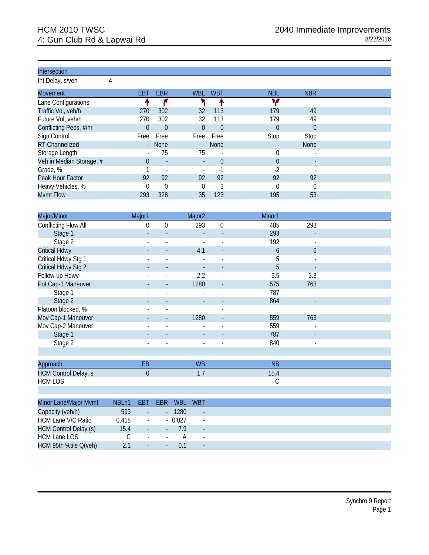Int Delay, s/veh 4

| <b>Movement</b>          | EBT                      | <b>EBR</b>               | <b>WBL</b>               | <b>WBT</b>               | <b>NBL</b> | <b>NBR</b>  |  |
|--------------------------|--------------------------|--------------------------|--------------------------|--------------------------|------------|-------------|--|
| Lane Configurations      |                          |                          |                          |                          | w          |             |  |
| Traffic Vol, veh/h       | 270                      | 302                      | 32                       | 113                      | 179        | 49          |  |
| Future Vol, veh/h        | 270                      | 302                      | 32                       | 113                      | 179        | 49          |  |
| Conflicting Peds, #/hr   | $\Omega$                 | $\theta$                 | 0                        | $\theta$                 | $\theta$   | $\Omega$    |  |
| Sign Control             | Free                     | Free                     | Free                     | Free                     | Stop       | Stop        |  |
| RT Channelized           | $\overline{\phantom{a}}$ | <b>None</b>              |                          | - None                   |            | <b>None</b> |  |
| Storage Length           | $\blacksquare$           | 75                       | 75                       | $\overline{a}$           | $\theta$   |             |  |
| Veh in Median Storage, # | 0                        | $\sim$                   | $\overline{\phantom{0}}$ | 0                        | $\theta$   |             |  |
| Grade, %                 |                          | $\overline{\phantom{a}}$ | $\overline{\phantom{a}}$ | $\overline{\phantom{a}}$ | $-2$       |             |  |
| Peak Hour Factor         | 92                       | 92                       | 92                       | 92                       | 92         | 92          |  |
| Heavy Vehicles, %        |                          | $\Omega$                 | O                        | 3                        | $\Omega$   | $\theta$    |  |
| <b>Mvmt Flow</b>         | 293                      | 328                      | 35                       | 123                      | 195        | 53          |  |
|                          |                          |                          |                          |                          |            |             |  |

| Major/Minor                 | Major1                          |                          | Major <sub>2</sub>        |                          | Minor1        |                          |  |
|-----------------------------|---------------------------------|--------------------------|---------------------------|--------------------------|---------------|--------------------------|--|
| Conflicting Flow All        | 0                               | $\mathbf 0$              | 293                       | $\boldsymbol{0}$         | 485           | 293                      |  |
| Stage 1                     |                                 |                          |                           |                          | 293           |                          |  |
| Stage 2                     |                                 | $\overline{\phantom{a}}$ |                           | $\blacksquare$           | 192           | $\blacksquare$           |  |
| <b>Critical Hdwy</b>        |                                 |                          | 4.1                       |                          | 6             | 6                        |  |
| Critical Hdwy Stg 1         |                                 |                          |                           |                          | 5             |                          |  |
| Critical Hdwy Stg 2         |                                 |                          |                           |                          | 5             |                          |  |
| Follow-up Hdwy              |                                 |                          | 2.2                       | $\overline{\phantom{a}}$ | 3.5           | 3.3                      |  |
| Pot Cap-1 Maneuver          |                                 |                          | 1280                      |                          | 575           | 763                      |  |
| Stage 1                     |                                 |                          |                           |                          | 787           | $\blacksquare$           |  |
| Stage 2                     |                                 |                          |                           |                          | 864           |                          |  |
| Platoon blocked, %          |                                 |                          |                           | $\blacksquare$           |               |                          |  |
| Mov Cap-1 Maneuver          |                                 |                          | 1280                      |                          | 559           | 763                      |  |
| Mov Cap-2 Maneuver          |                                 |                          |                           |                          | 559           |                          |  |
| Stage 1                     |                                 |                          |                           |                          | 787           | $\overline{\phantom{a}}$ |  |
| Stage 2                     |                                 | $\blacksquare$           |                           | $\blacksquare$           | 840           | $\blacksquare$           |  |
|                             |                                 |                          |                           |                          |               |                          |  |
| Approach                    | EB                              |                          | <b>WB</b>                 |                          | <b>NB</b>     |                          |  |
| <b>HCM Control Delay, s</b> | $\theta$                        |                          | 1.7                       |                          | 15.4          |                          |  |
| <b>HCM LOS</b>              |                                 |                          |                           |                          | $\mathcal{C}$ |                          |  |
|                             |                                 |                          |                           |                          |               |                          |  |
| Minor Lano/Maior Munt       | NDI <sub>n1</sub><br><b>CDT</b> | <b>CDD</b>               | <b>MDI</b><br><b>IMDT</b> |                          |               |                          |  |

| Minor Lane/Major Mvmt        | NBLn1 | EBT                      | <b>FBR</b>               | <b>WBL</b> | <b>WBT</b>               |  |
|------------------------------|-------|--------------------------|--------------------------|------------|--------------------------|--|
| Capacity (veh/h)             | 593   | $\overline{\phantom{a}}$ | $\sim$                   | 1280       | $\overline{\phantom{0}}$ |  |
| HCM Lane V/C Ratio           | 0.418 | $\overline{\phantom{a}}$ |                          | $-0.027$   | $\overline{\phantom{a}}$ |  |
| <b>HCM Control Delay (s)</b> | 15.4  | $\overline{\phantom{a}}$ | н.                       | 79         | $\overline{\phantom{0}}$ |  |
| HCM Lane LOS                 |       | $\sim$                   | $\overline{\phantom{a}}$ |            | $\blacksquare$           |  |
| HCM 95th %tile Q(veh)        |       | $\overline{\phantom{a}}$ | $\sim$                   | $\Omega$   | $\overline{\phantom{0}}$ |  |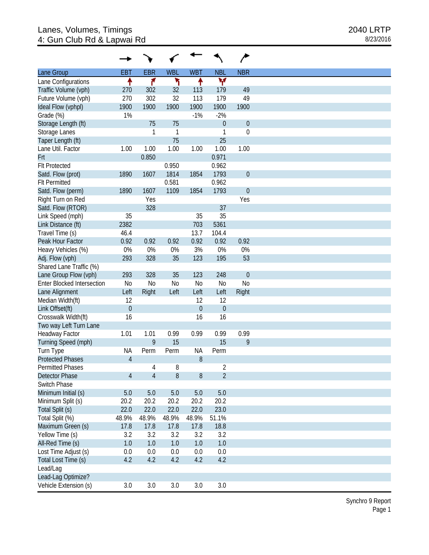|                                   |                |                |                |                  |                  | ∕                |
|-----------------------------------|----------------|----------------|----------------|------------------|------------------|------------------|
| Lane Group                        | <b>EBT</b>     | <b>EBR</b>     | <b>WBL</b>     | <b>WBT</b>       | <b>NBL</b>       | <b>NBR</b>       |
| Lane Configurations               |                | ۴              | ۲              | ↟                | v                |                  |
| Traffic Volume (vph)              | 270            | 302            | 32             | 113              | 179              | 49               |
| Future Volume (vph)               | 270            | 302            | 32             | 113              | 179              | 49               |
| Ideal Flow (vphpl)                | 1900           | 1900           | 1900           | 1900             | 1900             | 1900             |
| Grade (%)                         | 1%             |                |                | $-1%$            | $-2%$            |                  |
| Storage Length (ft)               |                | 75             | 75             |                  | $\overline{0}$   | $\boldsymbol{0}$ |
| Storage Lanes                     |                | 1              | $\mathbf{1}$   |                  | 1                | $\boldsymbol{0}$ |
| Taper Length (ft)                 |                |                | 75             |                  | 25               |                  |
| Lane Util. Factor                 | 1.00           | 1.00           | 1.00           | 1.00             | 1.00             | 1.00             |
| Frt                               |                | 0.850          |                |                  | 0.971            |                  |
| <b>Flt Protected</b>              |                |                | 0.950          |                  | 0.962            |                  |
| Satd. Flow (prot)                 | 1890           | 1607           | 1814           | 1854             | 1793             | $\theta$         |
| <b>Flt Permitted</b>              |                |                | 0.581          |                  | 0.962            |                  |
| Satd. Flow (perm)                 | 1890           | 1607           | 1109           | 1854             | 1793             | $\theta$         |
|                                   |                | Yes            |                |                  |                  | Yes              |
| Right Turn on Red                 |                | 328            |                |                  |                  |                  |
| Satd. Flow (RTOR)                 |                |                |                |                  | 37               |                  |
| Link Speed (mph)                  | 35             |                |                | 35               | 35               |                  |
| Link Distance (ft)                | 2382           |                |                | 703              | 5361             |                  |
| Travel Time (s)                   | 46.4           |                |                | 13.7             | 104.4            |                  |
| Peak Hour Factor                  | 0.92           | 0.92           | 0.92           | 0.92             | 0.92             | 0.92             |
| Heavy Vehicles (%)                | 0%             | 0%             | 0%             | 3%               | 0%               | 0%               |
| Adj. Flow (vph)                   | 293            | 328            | 35             | 123              | 195              | 53               |
| Shared Lane Traffic (%)           |                |                |                |                  |                  |                  |
| Lane Group Flow (vph)             | 293            | 328            | 35             | 123              | 248              | $\theta$         |
| <b>Enter Blocked Intersection</b> | N <sub>0</sub> | N <sub>0</sub> | N <sub>o</sub> | N <sub>0</sub>   | <b>No</b>        | N <sub>0</sub>   |
| Lane Alignment                    | Left           | Right          | Left           | Left             | Left             | Right            |
| Median Width(ft)                  | 12             |                |                | 12               | 12               |                  |
| Link Offset(ft)                   | $\mathbf 0$    |                |                | $\boldsymbol{0}$ | $\boldsymbol{0}$ |                  |
| Crosswalk Width(ft)               | 16             |                |                | 16               | 16               |                  |
| Two way Left Turn Lane            |                |                |                |                  |                  |                  |
| Headway Factor                    | 1.01           | 1.01           | 0.99           | 0.99             | 0.99             | 0.99             |
| Turning Speed (mph)               |                | 9              | 15             |                  | 15               | 9                |
| Turn Type                         | <b>NA</b>      | Perm           | Perm           | <b>NA</b>        | Perm             |                  |
| <b>Protected Phases</b>           | $\overline{4}$ |                |                | 8                |                  |                  |
| <b>Permitted Phases</b>           |                | $\overline{4}$ | 8              |                  | $\overline{2}$   |                  |
| Detector Phase                    | $\overline{4}$ | $\overline{4}$ | 8              | 8                | $\overline{2}$   |                  |
| Switch Phase                      |                |                |                |                  |                  |                  |
| Minimum Initial (s)               | 5.0            | $5.0$          | $5.0$          | 5.0              | 5.0              |                  |
| Minimum Split (s)                 | 20.2           | 20.2           | 20.2           | 20.2             | 20.2             |                  |
| Total Split (s)                   | 22.0           | 22.0           | 22.0           | 22.0             | 23.0             |                  |
| Total Split (%)                   | 48.9%          | 48.9%          | 48.9%          | 48.9%            | 51.1%            |                  |
| Maximum Green (s)                 | 17.8           | 17.8           | 17.8           | 17.8             | 18.8             |                  |
| Yellow Time (s)                   | 3.2            | 3.2            | 3.2            | 3.2              | 3.2              |                  |
|                                   |                |                |                |                  |                  |                  |
| All-Red Time (s)                  | 1.0            | 1.0            | 1.0            | 1.0              | $1.0\,$          |                  |
| Lost Time Adjust (s)              | 0.0            | 0.0            | 0.0            | 0.0              | 0.0              |                  |
| Total Lost Time (s)               | 4.2            | 4.2            | 4.2            | 4.2              | 4.2              |                  |
| Lead/Lag                          |                |                |                |                  |                  |                  |
| Lead-Lag Optimize?                |                |                |                |                  |                  |                  |
| Vehicle Extension (s)             | 3.0            | 3.0            | 3.0            | 3.0              | 3.0              |                  |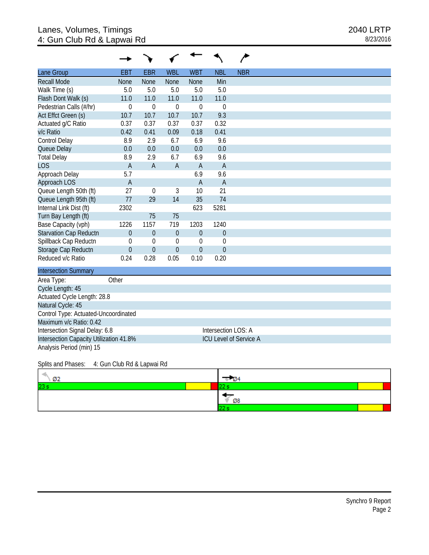# Lanes, Volumes, Timings 2040 LRTP 4: Gun Club Rd & Lapwai Rd 8/23/2016

| Lane Group                           | <b>EBT</b>       | <b>EBR</b>       | <b>WBL</b>       | <b>WBT</b>       | <b>NBL</b>          | <b>NBR</b> |
|--------------------------------------|------------------|------------------|------------------|------------------|---------------------|------------|
| <b>Recall Mode</b>                   | <b>None</b>      | <b>None</b>      | <b>None</b>      | <b>None</b>      | Min                 |            |
| Walk Time (s)                        | 5.0              | 5.0              | 5.0              | 5.0              | 5.0                 |            |
| Flash Dont Walk (s)                  | 11.0             | 11.0             | 11.0             | 11.0             | 11.0                |            |
| Pedestrian Calls (#/hr)              | 0                | $\boldsymbol{0}$ | $\boldsymbol{0}$ | $\mathbf 0$      | $\mathbf{0}$        |            |
| Act Effct Green (s)                  | 10.7             | 10.7             | 10.7             | 10.7             | 9.3                 |            |
| Actuated g/C Ratio                   | 0.37             | 0.37             | 0.37             | 0.37             | 0.32                |            |
| v/c Ratio                            | 0.42             | 0.41             | 0.09             | 0.18             | 0.41                |            |
| Control Delay                        | 8.9              | 2.9              | 6.7              | 6.9              | 9.6                 |            |
| Queue Delay                          | 0.0              | 0.0              | 0.0              | 0.0              | 0.0                 |            |
| <b>Total Delay</b>                   | 8.9              | 2.9              | 6.7              | 6.9              | 9.6                 |            |
| <b>LOS</b>                           | $\overline{A}$   | $\overline{A}$   | $\overline{A}$   | $\overline{A}$   | $\overline{A}$      |            |
| Approach Delay                       | 5.7              |                  |                  | 6.9              | 9.6                 |            |
| Approach LOS                         | $\overline{A}$   |                  |                  | $\overline{A}$   | $\overline{A}$      |            |
| Queue Length 50th (ft)               | 27               | $\mathbf 0$      | 3                | 10               | 21                  |            |
| Queue Length 95th (ft)               | 77               | 29               | 14               | 35               | 74                  |            |
| Internal Link Dist (ft)              | 2302             |                  |                  | 623              | 5281                |            |
| Turn Bay Length (ft)                 |                  | 75               | 75               |                  |                     |            |
| Base Capacity (vph)                  | 1226             | 1157             | 719              | 1203             | 1240                |            |
| <b>Starvation Cap Reductn</b>        | $\boldsymbol{0}$ | $\theta$         | $\boldsymbol{0}$ | $\boldsymbol{0}$ | $\boldsymbol{0}$    |            |
| Spillback Cap Reductn                | $\theta$         | $\mathbf 0$      | $\Omega$         | $\boldsymbol{0}$ | $\theta$            |            |
| Storage Cap Reductn                  | $\mathbf 0$      | $\theta$         | $\theta$         | $\boldsymbol{0}$ | $\theta$            |            |
| Reduced v/c Ratio                    | 0.24             | 0.28             | 0.05             | 0.10             | 0.20                |            |
| <b>Intersection Summary</b>          |                  |                  |                  |                  |                     |            |
| Area Type:                           | Other            |                  |                  |                  |                     |            |
| Cycle Length: 45                     |                  |                  |                  |                  |                     |            |
| Actuated Cycle Length: 28.8          |                  |                  |                  |                  |                     |            |
| Natural Cycle: 45                    |                  |                  |                  |                  |                     |            |
| Control Type: Actuated-Uncoordinated |                  |                  |                  |                  |                     |            |
| Maximum v/c Ratio: 0.42              |                  |                  |                  |                  |                     |            |
| Intersection Signal Delay: 6.8       |                  |                  |                  |                  | Intersection LOS: A |            |

Intersection Capacity Utilization 41.8% ICU Level of Service A

Analysis Period (min) 15

#### Splits and Phases: 4: Gun Club Rd & Lapwai Rd

| Ø2  |    |
|-----|----|
| 23: |    |
|     | Ø8 |
|     |    |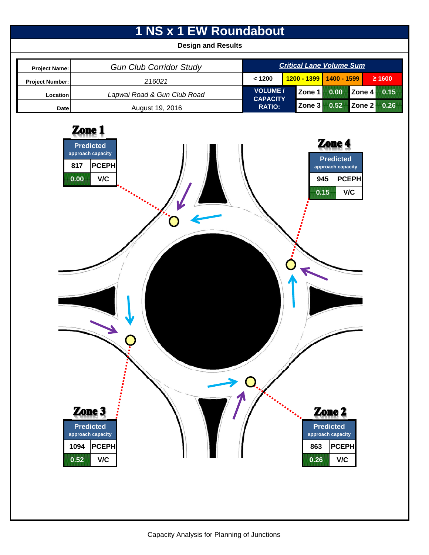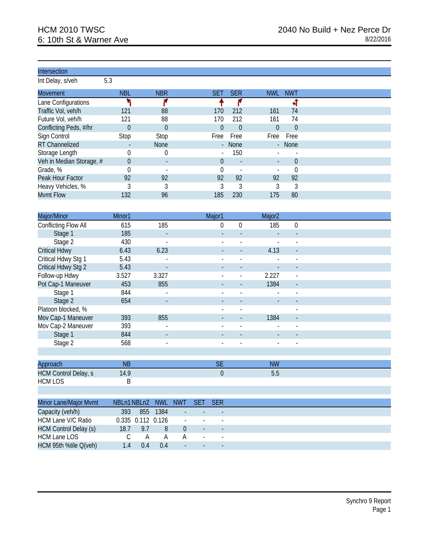Int Delay, s/veh 5.3

| <b>Movement</b>          | <b>NBL</b> | <b>NBR</b>               | <b>SET</b>               | <b>SER</b>               | <b>NWL</b> | <b>NWT</b> |
|--------------------------|------------|--------------------------|--------------------------|--------------------------|------------|------------|
| Lane Configurations      |            |                          |                          |                          |            | ٠          |
| Traffic Vol, veh/h       | 121        | 88                       | 170                      | 212                      | 161        | 74         |
| Future Vol, veh/h        | 121        | 88                       | 170                      | 212                      | 161        | 74         |
| Conflicting Peds, #/hr   | 0          | $\theta$                 | 0                        | $\Omega$                 | $\Omega$   | $\Omega$   |
| Sign Control             | Stop       | Stop                     | Free                     | Free                     | Free       | Free       |
| RT Channelized           |            | <b>None</b>              |                          | - None                   |            | - None     |
| Storage Length           |            | $\theta$                 | $\overline{\phantom{a}}$ | 150                      |            |            |
| Veh in Median Storage, # | 0          | $\overline{\phantom{a}}$ | 0                        | $\overline{\phantom{a}}$ |            | $\theta$   |
| Grade, %                 |            | $\blacksquare$           |                          |                          |            |            |
| Peak Hour Factor         | 92         | 92                       | 92                       | 92                       | 92         | 92         |
| Heavy Vehicles, %        |            |                          |                          | 3                        |            | 3          |
| <b>Mvmt Flow</b>         | 132        | 96                       | 185                      | 230                      | 175        | 80         |
|                          |            |                          |                          |                          |            |            |

| Major/Minor          | Minor1 |                              | Major1         |          | Major <sub>2</sub> |                          |  |
|----------------------|--------|------------------------------|----------------|----------|--------------------|--------------------------|--|
| Conflicting Flow All | 615    | 185                          | 0              | $\Omega$ | 185                | $\Omega$                 |  |
| Stage 1              | 185    |                              |                |          |                    |                          |  |
| Stage 2              | 430    | L,                           |                |          |                    |                          |  |
| <b>Critical Hdwy</b> | 6.43   | 6.23                         |                |          | 4.13               | $\overline{\phantom{a}}$ |  |
| Critical Hdwy Stg 1  | 5.43   |                              | $\blacksquare$ |          |                    |                          |  |
| Critical Hdwy Stg 2  | 5.43   | $\overline{\phantom{0}}$     |                |          |                    |                          |  |
| Follow-up Hdwy       | 3.527  | 3.327                        |                |          | 2.227              | $\blacksquare$           |  |
| Pot Cap-1 Maneuver   | 453    | 855                          |                |          | 1384               |                          |  |
| Stage 1              | 844    | $\blacksquare$               |                |          |                    |                          |  |
| Stage 2              | 654    | $\overline{\phantom{0}}$     |                |          |                    |                          |  |
| Platoon blocked, %   |        |                              |                |          |                    | $\overline{\phantom{a}}$ |  |
| Mov Cap-1 Maneuver   | 393    | 855                          |                |          | 1384               | $\blacksquare$           |  |
| Mov Cap-2 Maneuver   | 393    | -                            |                |          |                    |                          |  |
| Stage 1              | 844    | $\qquad \qquad \blacksquare$ |                |          |                    |                          |  |
| Stage 2              | 568    | $\overline{\phantom{a}}$     | $\blacksquare$ |          |                    |                          |  |
|                      |        |                              |                |          |                    |                          |  |

| Approach.            | <b>NF</b> | <b>NW</b> |  |
|----------------------|-----------|-----------|--|
| HCM Control Delay, s | 14.9      | v.v       |  |
| <b>HCM LOS</b>       |           |           |  |

| <b>Minor Lane/Major Mvmt</b> | NBI n1 NBI n2 |     | <b>NWL</b>              | <b>NWT</b>               | <b>SFT</b>               | $-$ SER $-$              |
|------------------------------|---------------|-----|-------------------------|--------------------------|--------------------------|--------------------------|
| Capacity (veh/h)             | 393           | 855 | 1384                    | $\sim$                   |                          |                          |
| <b>HCM Lane V/C Ratio</b>    |               |     | $0.335$ $0.112$ $0.126$ | $\overline{\phantom{a}}$ |                          |                          |
| <b>HCM Control Delay (s)</b> | 18.7          | 9.7 | 8                       |                          | $\overline{\phantom{0}}$ | $\overline{\phantom{a}}$ |
| HCM Lane LOS                 |               | A   | А                       |                          | $\overline{\phantom{a}}$ | $\overline{\phantom{a}}$ |
| HCM 95th %tile Q(veh)        | 14            | 04  | 04                      | $\overline{\phantom{a}}$ | $\overline{\phantom{a}}$ | $\overline{\phantom{a}}$ |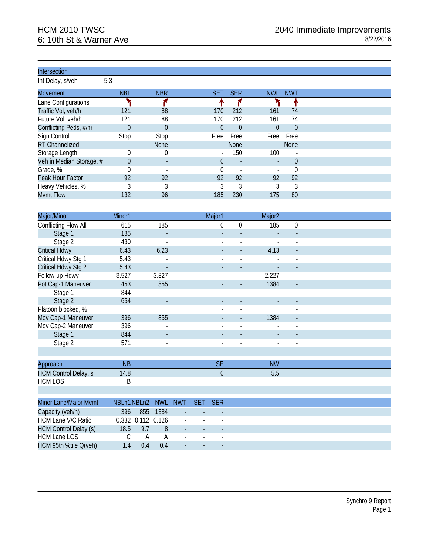| Intersection |  |
|--------------|--|
|              |  |
|              |  |

Int Delay, s/veh 5.3

| <b>Movement</b>          | <b>NBL</b>               | <b>NBR</b>               | <b>SET</b>               | <b>SER</b>               | <b>NWL</b> | <b>NWT</b>     |
|--------------------------|--------------------------|--------------------------|--------------------------|--------------------------|------------|----------------|
| Lane Configurations      |                          |                          |                          |                          |            |                |
| Traffic Vol, veh/h       | 121                      | 88                       | 170                      | 212                      | 161        | 74             |
| Future Vol, veh/h        | 121                      | 88                       | 170                      | 212                      | 161        | 74             |
| Conflicting Peds, #/hr   | $\Omega$                 | $\Omega$                 | $\Omega$                 | $\Omega$                 | $\Omega$   | $\Omega$       |
| Sign Control             | Stop                     | Stop                     | Free                     | Free                     | Free       | Free           |
| RT Channelized           | $\overline{\phantom{a}}$ | <b>None</b>              | ÷.                       | <b>None</b>              |            | - None         |
| Storage Length           |                          | 0                        | $\overline{\phantom{a}}$ | 150                      | 100        | $\overline{a}$ |
| Veh in Median Storage, # | $\theta$                 | $\overline{\phantom{a}}$ | 0                        | $\overline{\phantom{a}}$ |            | $\theta$       |
| Grade, %                 |                          | $\overline{\phantom{0}}$ |                          |                          |            | 0              |
| Peak Hour Factor         | 92                       | 92                       | 92                       | 92                       | 92         | 92             |
| Heavy Vehicles, %        |                          |                          |                          | 3                        |            | 3              |
| <b>Mvmt Flow</b>         | 132                      | 96                       | 185                      | 230                      | 175        | 80             |

| Major/Minor          | Minor1 |                          | Major1                   |                          | Major <sub>2</sub> |                          |  |
|----------------------|--------|--------------------------|--------------------------|--------------------------|--------------------|--------------------------|--|
| Conflicting Flow All | 615    | 185                      | 0                        | $\Omega$                 | 185                | $\Omega$                 |  |
| Stage 1              | 185    |                          |                          |                          |                    |                          |  |
| Stage 2              | 430    | L,                       |                          |                          |                    | $\overline{\phantom{0}}$ |  |
| <b>Critical Hdwy</b> | 6.43   | 6.23                     | $\blacksquare$           |                          | 4.13               | $\blacksquare$           |  |
| Critical Hdwy Stg 1  | 5.43   | ٠                        |                          |                          |                    |                          |  |
| Critical Hdwy Stg 2  | 5.43   |                          |                          |                          |                    |                          |  |
| Follow-up Hdwy       | 3.527  | 3.327                    |                          |                          | 2.227              | $\overline{\phantom{a}}$ |  |
| Pot Cap-1 Maneuver   | 453    | 855                      |                          |                          | 1384               |                          |  |
| Stage 1              | 844    | $\overline{a}$           |                          |                          |                    |                          |  |
| Stage 2              | 654    | $\overline{\phantom{a}}$ | $\overline{\phantom{a}}$ |                          |                    |                          |  |
| Platoon blocked, %   |        |                          | $\blacksquare$           | $\overline{\phantom{a}}$ |                    | $\blacksquare$           |  |
| Mov Cap-1 Maneuver   | 396    | 855                      |                          |                          | 1384               |                          |  |
| Mov Cap-2 Maneuver   | 396    | $\overline{\phantom{a}}$ |                          |                          |                    |                          |  |
| Stage 1              | 844    | $\overline{\phantom{a}}$ |                          |                          |                    |                          |  |
| Stage 2              | 571    | $\overline{\phantom{a}}$ | $\blacksquare$           | $\overline{\phantom{a}}$ | ۰                  | $\blacksquare$           |  |
|                      |        |                          |                          |                          |                    |                          |  |

| Approach                    | <b>NE</b> | $\sim$ $\sim$<br>◡└ | <b>NW</b> |  |
|-----------------------------|-----------|---------------------|-----------|--|
| <b>HCM Control Delay, s</b> | 14.8      |                     | J.u       |  |
| <b>HCM LOS</b>              |           |                     |           |  |

| <b>Minor Lane/Major Mvmt</b> | NBI n1 NBI n2 |                   | - NWL | <b>NWT</b>               | <b>SET</b>               | $-$ SER $-$              |
|------------------------------|---------------|-------------------|-------|--------------------------|--------------------------|--------------------------|
| Capacity (veh/h)             | 396           | 855               | 1384  | $\sim$                   |                          |                          |
| <b>HCM Lane V/C Ratio</b>    |               | 0.332 0.112 0.126 |       | $\overline{\phantom{a}}$ |                          |                          |
| <b>HCM Control Delay (s)</b> | 18.5          | 9.7               | 8     | $\overline{\phantom{0}}$ | $\overline{\phantom{a}}$ | $\overline{\phantom{a}}$ |
| HCM Lane LOS                 |               | А                 | А     | $\sim$                   | $\sim$                   | $\overline{\phantom{a}}$ |
| HCM 95th %tile Q(veh)        | 14            | 04                | 04    | $-1$                     | $\overline{\phantom{a}}$ | $\overline{\phantom{a}}$ |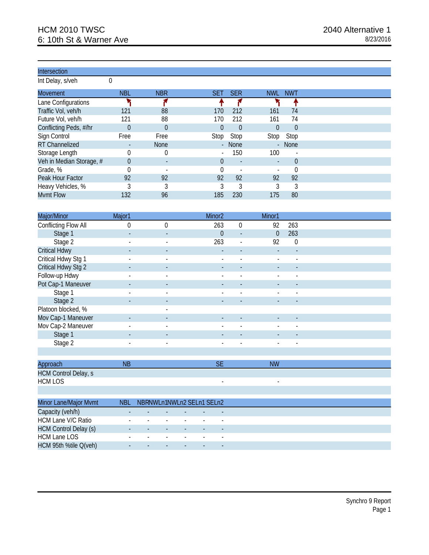Int Delay, s/veh 0

| <b>Movement</b>          | <b>NBL</b> | <b>NBR</b>     | SET.                     | <b>SER</b>               | <b>NWL</b> | <b>NWT</b> |
|--------------------------|------------|----------------|--------------------------|--------------------------|------------|------------|
| Lane Configurations      |            |                |                          |                          |            |            |
| Traffic Vol, veh/h       | 121        | 88             | 170                      | 212                      | 161        | 74         |
| Future Vol, veh/h        | 121        | 88             | 170                      | 212                      | 161        | 74         |
| Conflicting Peds, #/hr   | $\theta$   | $\Omega$       | $\Omega$                 | $\Omega$                 | $\Omega$   | $\Omega$   |
| Sign Control             | Free       | Free           | Stop                     | Stop                     | Stop       | Stop       |
| RT Channelized           |            | <b>None</b>    | $\mathcal{L}^{\pm}$      | <b>None</b>              |            | - None     |
| Storage Length           |            | $\theta$       | $\overline{\phantom{0}}$ | 150                      | 100        |            |
| Veh in Median Storage, # | $\theta$   | $\blacksquare$ | 0                        | $\overline{\phantom{a}}$ |            | $\theta$   |
| Grade, %                 |            | ۰              |                          |                          |            |            |
| Peak Hour Factor         | 92         | 92             | 92                       | 92                       | 92         | 92         |
| Heavy Vehicles, %        |            |                |                          | 3                        | 3          | 3          |
| Mvmt Flow                | 132        | 96             | 185                      | 230                      | 175        | 80         |

| Major/Minor          | Major1                   |                          | Minor <sub>2</sub>       |                          | Minor1                   |                          |  |
|----------------------|--------------------------|--------------------------|--------------------------|--------------------------|--------------------------|--------------------------|--|
| Conflicting Flow All | 0                        | $\Omega$                 | 263                      | $\Omega$                 | 92                       | 263                      |  |
| Stage 1              | $\overline{\phantom{a}}$ | $\overline{\phantom{a}}$ | $\theta$                 | $\blacksquare$           | $\Omega$                 | 263                      |  |
| Stage 2              | $\blacksquare$           | $\blacksquare$           | 263                      | $\overline{\phantom{a}}$ | 92                       | $\Omega$                 |  |
| <b>Critical Hdwy</b> |                          | $\overline{\phantom{a}}$ |                          |                          | $\overline{\phantom{0}}$ |                          |  |
| Critical Hdwy Stg 1  |                          | $\blacksquare$           |                          |                          |                          |                          |  |
| Critical Hdwy Stg 2  | $\overline{\phantom{a}}$ | $\overline{\phantom{a}}$ |                          |                          |                          |                          |  |
| Follow-up Hdwy       | $\blacksquare$           | $\overline{\phantom{a}}$ |                          | $\blacksquare$           |                          | $\overline{\phantom{0}}$ |  |
| Pot Cap-1 Maneuver   |                          | $\overline{\phantom{a}}$ |                          |                          |                          |                          |  |
| Stage 1              |                          | $\overline{\phantom{a}}$ |                          |                          |                          |                          |  |
| Stage 2              | $\overline{\phantom{a}}$ | $\overline{\phantom{a}}$ | $\overline{\phantom{a}}$ |                          |                          |                          |  |
| Platoon blocked, %   |                          | $\overline{\phantom{a}}$ |                          |                          |                          |                          |  |
| Mov Cap-1 Maneuver   |                          | $\overline{\phantom{a}}$ |                          |                          |                          |                          |  |
| Mov Cap-2 Maneuver   |                          | $\overline{\phantom{a}}$ |                          | $\overline{\phantom{a}}$ |                          |                          |  |
| Stage 1              |                          | $\overline{\phantom{a}}$ |                          |                          |                          |                          |  |
| Stage 2              | $\overline{\phantom{a}}$ | $\overline{\phantom{a}}$ | $\overline{\phantom{a}}$ | $\overline{\phantom{a}}$ | $\overline{\phantom{a}}$ | $\overline{\phantom{a}}$ |  |
|                      |                          |                          |                          |                          |                          |                          |  |

| Approach                    | NI | <b>NW</b> |
|-----------------------------|----|-----------|
| <b>HCM Control Delay, s</b> |    |           |
| <b>HCM LOS</b>              |    |           |

| <b>Minor Lane/Major Mvmt</b> | NBI                      | NBRNWLn1NWLn2 SELn1 SELn2 |                          |                          |                          |
|------------------------------|--------------------------|---------------------------|--------------------------|--------------------------|--------------------------|
| Capacity (veh/h)             | $\overline{\phantom{a}}$ |                           |                          |                          |                          |
| <b>HCM Lane V/C Ratio</b>    | -                        | $\overline{\phantom{0}}$  | $\overline{\phantom{0}}$ |                          |                          |
| <b>HCM Control Delay (s)</b> | $\overline{\phantom{a}}$ | $\overline{\phantom{a}}$  |                          | $\overline{\phantom{0}}$ | $\overline{\phantom{a}}$ |
| <b>HCM Lane LOS</b>          | -                        | $\overline{\phantom{0}}$  | $\overline{\phantom{a}}$ |                          |                          |
| HCM 95th %tile Q(veh)        | $\overline{\phantom{a}}$ |                           |                          |                          |                          |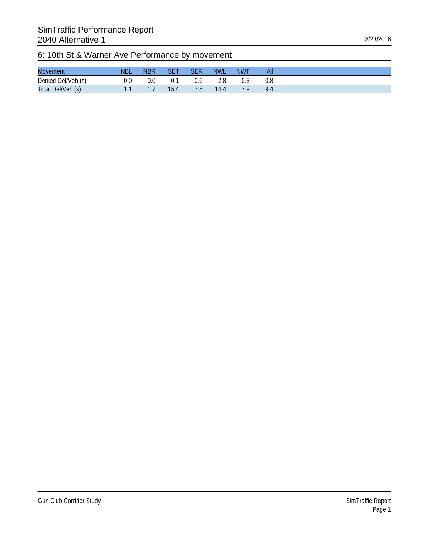# 6: 10th St & Warner Ave Performance by movement

| <b>Movement</b>    | <b>NBL</b> | <b>NBR</b> |     | <b>NWL</b> | <b>NWT</b> | All           |
|--------------------|------------|------------|-----|------------|------------|---------------|
| Denied Del/Veh (s) |            |            | v.c |            |            |               |
| Total Del/Veh (s)  |            | .          | 7.8 | 14.4       |            | $Q_{\Lambda}$ |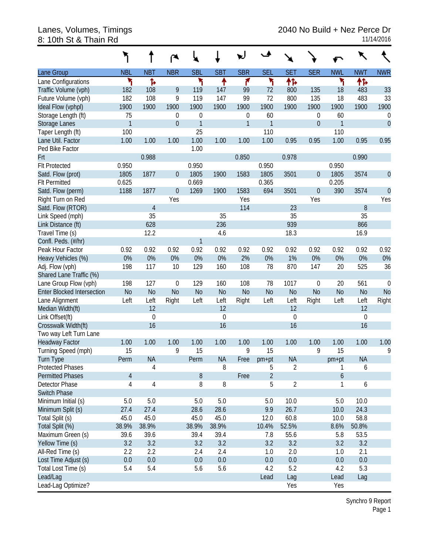# 8: 10th St & Thain Rd

|                                   |                |                |                  | ×.           |             |                | ▲              | ٦.             |                  |                  |             |                |
|-----------------------------------|----------------|----------------|------------------|--------------|-------------|----------------|----------------|----------------|------------------|------------------|-------------|----------------|
| Lane Group                        | <b>NBL</b>     | <b>NBT</b>     | <b>NBR</b>       | <b>SBL</b>   | <b>SBT</b>  | <b>SBR</b>     | <b>SEL</b>     | <b>SET</b>     | <b>SER</b>       | <b>NWL</b>       | <b>NWT</b>  | <b>NWR</b>     |
| Lane Configurations               | ۲              | Ъ              |                  | ۲            | ↟           | ۴              | ۲              | ተኈ             |                  | ۲                | 怍           |                |
| Traffic Volume (vph)              | 182            | 108            | 9                | 119          | 147         | 99             | 72             | 800            | 135              | 18               | 483         | 33             |
| Future Volume (vph)               | 182            | 108            | 9                | 119          | 147         | 99             | 72             | 800            | 135              | 18               | 483         | 33             |
| Ideal Flow (vphpl)                | 1900           | 1900           | 1900             | 1900         | 1900        | 1900           | 1900           | 1900           | 1900             | 1900             | 1900        | 1900           |
| Storage Length (ft)               | 75             |                | 0                | $\mathbf 0$  |             | $\mathbf 0$    | 60             |                | $\boldsymbol{0}$ | 60               |             | 0              |
| Storage Lanes                     | $\mathbf{1}$   |                | $\overline{0}$   | $\mathbf{1}$ |             | $\mathbf{1}$   | $\mathbf{1}$   |                | $\boldsymbol{0}$ | $\mathbf{1}$     |             | $\overline{0}$ |
| Taper Length (ft)                 | 100            |                |                  | 25           |             |                | 110            |                |                  | 110              |             |                |
| Lane Util. Factor                 | 1.00           | 1.00           | 1.00             | 1.00         | 1.00        | 1.00           | 1.00           | 0.95           | 0.95             | 1.00             | 0.95        | 0.95           |
| Ped Bike Factor                   |                |                |                  | 1.00         |             |                |                |                |                  |                  |             |                |
| Frt                               |                | 0.988          |                  |              |             | 0.850          |                | 0.978          |                  |                  | 0.990       |                |
| <b>Flt Protected</b>              | 0.950          |                |                  | 0.950        |             |                | 0.950          |                |                  | 0.950            |             |                |
| Satd. Flow (prot)                 | 1805           | 1877           | $\mathbf 0$      | 1805         | 1900        | 1583           | 1805           | 3501           | $\boldsymbol{0}$ | 1805             | 3574        | $\mathbf 0$    |
| <b>Flt Permitted</b>              | 0.625          |                |                  | 0.669        |             |                | 0.365          |                |                  | 0.205            |             |                |
| Satd. Flow (perm)                 | 1188           | 1877           | $\theta$         | 1269         | 1900        | 1583           | 694            | 3501           | $\boldsymbol{0}$ | 390              | 3574        | $\overline{0}$ |
| Right Turn on Red                 |                |                | Yes              |              |             | Yes            |                |                | Yes              |                  |             | Yes            |
| Satd. Flow (RTOR)                 |                | $\overline{4}$ |                  |              |             | 114            |                | 23             |                  |                  | 8           |                |
| Link Speed (mph)                  |                | 35             |                  |              | 35          |                |                | 35             |                  |                  | 35          |                |
| Link Distance (ft)                |                | 628            |                  |              | 236         |                |                | 939            |                  |                  | 866         |                |
| Travel Time (s)                   |                | 12.2           |                  |              | 4.6         |                |                | 18.3           |                  |                  | 16.9        |                |
| Confl. Peds. (#/hr)               |                |                |                  | $\mathbf{1}$ |             |                |                |                |                  |                  |             |                |
| Peak Hour Factor                  | 0.92           | 0.92           | 0.92             | 0.92         | 0.92        | 0.92           | 0.92           | 0.92           | 0.92             | 0.92             | 0.92        | 0.92           |
| Heavy Vehicles (%)                | $0\%$          | 0%             | 0%               | 0%           | 0%          | 2%             | 0%             | 1%             | 0%               | 0%               | 0%          | 0%             |
| Adj. Flow (vph)                   | 198            | 117            | 10               | 129          | 160         | 108            | 78             | 870            | 147              | 20               | 525         | 36             |
| Shared Lane Traffic (%)           |                |                |                  |              |             |                |                |                |                  |                  |             |                |
| Lane Group Flow (vph)             | 198            | 127            | $\boldsymbol{0}$ | 129          | 160         | 108            | 78             | 1017           | $\mathbf 0$      | 20               | 561         | 0              |
| <b>Enter Blocked Intersection</b> | N <sub>o</sub> | N <sub>o</sub> | N <sub>o</sub>   | <b>No</b>    | <b>No</b>   | N <sub>o</sub> | N <sub>o</sub> | N <sub>o</sub> | N <sub>o</sub>   | N <sub>o</sub>   | <b>No</b>   | <b>No</b>      |
| Lane Alignment                    | Left           | Left           | Right            | Left         | Left        | Right          | Left           | Left           | Right            | Left             | Left        | Right          |
| Median Width(ft)                  |                | 12             |                  |              | 12          |                |                | 12             |                  |                  | 12          |                |
| Link Offset(ft)                   |                | $\mathbf 0$    |                  |              | $\mathbf 0$ |                |                | $\mathbf 0$    |                  |                  | $\mathbf 0$ |                |
| Crosswalk Width(ft)               |                | 16             |                  |              | 16          |                |                | 16             |                  |                  | 16          |                |
| Two way Left Turn Lane            |                |                |                  |              |             |                |                |                |                  |                  |             |                |
| <b>Headway Factor</b>             | 1.00           | 1.00           | 1.00             | 1.00         | 1.00        | 1.00           | 1.00           | 1.00           | 1.00             | 1.00             | 1.00        | 1.00           |
| Turning Speed (mph)               | 15             |                | 9                | 15           |             | 9              | 15             |                | 9                | 15               |             | 9              |
| <b>Turn Type</b>                  | Perm           | <b>NA</b>      |                  | Perm         | <b>NA</b>   | Free           | pm+pt          | <b>NA</b>      |                  | pm+pt            | <b>NA</b>   |                |
| <b>Protected Phases</b>           |                | 4              |                  |              | 8           |                | 5              | $\overline{2}$ |                  | 1                | 6           |                |
| <b>Permitted Phases</b>           | 4              |                |                  | $8\,$        |             | Free           | $\overline{2}$ |                |                  | $\boldsymbol{6}$ |             |                |
| Detector Phase                    | 4              | $\sqrt{4}$     |                  | 8            | 8           |                | 5              | $\sqrt{2}$     |                  | 1                | 6           |                |
| Switch Phase                      |                |                |                  |              |             |                |                |                |                  |                  |             |                |
| Minimum Initial (s)               | 5.0            | 5.0            |                  | 5.0          | 5.0         |                | 5.0            | 10.0           |                  | 5.0              | 10.0        |                |
| Minimum Split (s)                 | 27.4           | 27.4           |                  | 28.6         | 28.6        |                | 9.9            | 26.7           |                  | 10.0             | 24.3        |                |
| Total Split (s)                   | 45.0           | 45.0           |                  | 45.0         | 45.0        |                | 12.0           | 60.8           |                  | 10.0             | 58.8        |                |
| Total Split (%)                   | 38.9%          | 38.9%          |                  | 38.9%        | 38.9%       |                | 10.4%          | 52.5%          |                  | 8.6%             | 50.8%       |                |
| Maximum Green (s)                 | 39.6           | 39.6           |                  | 39.4         | 39.4        |                | 7.8            | 55.6           |                  | 5.8              | 53.5        |                |
| Yellow Time (s)                   | 3.2            | 3.2            |                  | 3.2          | 3.2         |                | 3.2            | 3.2            |                  | 3.2              | 3.2         |                |
| All-Red Time (s)                  | 2.2            | 2.2            |                  | 2.4          | 2.4         |                | 1.0            | 2.0            |                  | 1.0              | 2.1         |                |
| Lost Time Adjust (s)              | 0.0            | 0.0            |                  | 0.0          | $0.0\,$     |                | 0.0            | $0.0\,$        |                  | 0.0              | 0.0         |                |
| Total Lost Time (s)               | 5.4            | 5.4            |                  | 5.6          | 5.6         |                | 4.2            | 5.2            |                  | 4.2              | 5.3         |                |
| Lead/Lag                          |                |                |                  |              |             |                | Lead           | Lag            |                  | Lead             | Lag         |                |
| Lead-Lag Optimize?                |                |                |                  |              |             |                |                | Yes            |                  | Yes              |             |                |

Synchro 9 Report Page 1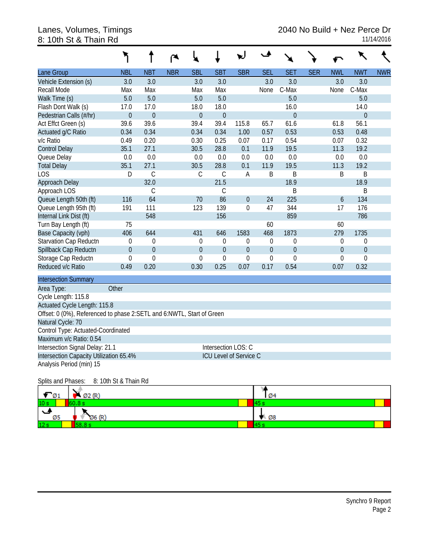# 8: 10th St & Thain Rd

| Lane Group                                                            | <b>NBL</b>            | <b>NBT</b>       | <b>NBR</b> | <b>SBL</b>       | <b>SBT</b>       | <b>SBR</b>       | <b>SEL</b>       | <b>SET</b>       | <b>SER</b> | <b>NWL</b>       | <b>NWT</b>     | <b>NWR</b> |
|-----------------------------------------------------------------------|-----------------------|------------------|------------|------------------|------------------|------------------|------------------|------------------|------------|------------------|----------------|------------|
| Vehicle Extension (s)                                                 | 3.0                   | 3.0              |            | 3.0              | 3.0              |                  | 3.0              | 3.0              |            | 3.0              | 3.0            |            |
| Recall Mode                                                           | Max                   | Max              |            | Max              | Max              |                  | None             | C-Max            |            | None             | C-Max          |            |
| Walk Time (s)                                                         | 5.0                   | 5.0              |            | 5.0              | 5.0              |                  |                  | 5.0              |            |                  | 5.0            |            |
| Flash Dont Walk (s)                                                   | 17.0                  | 17.0             |            | 18.0             | 18.0             |                  |                  | 16.0             |            |                  | 14.0           |            |
| Pedestrian Calls (#/hr)                                               | $\theta$              | $\theta$         |            | $\theta$         | $\overline{0}$   |                  |                  | $\overline{0}$   |            |                  | $\overline{0}$ |            |
| Act Effct Green (s)                                                   | 39.6                  | 39.6             |            | 39.4             | 39.4             | 115.8            | 65.7             | 61.6             |            | 61.8             | 56.1           |            |
| Actuated g/C Ratio                                                    | 0.34                  | 0.34             |            | 0.34             | 0.34             | 1.00             | 0.57             | 0.53             |            | 0.53             | 0.48           |            |
| v/c Ratio                                                             | 0.49                  | 0.20             |            | 0.30             | 0.25             | 0.07             | 0.17             | 0.54             |            | 0.07             | 0.32           |            |
| <b>Control Delay</b>                                                  | 35.1                  | 27.1             |            | 30.5             | 28.8             | 0.1              | 11.9             | 19.5             |            | 11.3             | 19.2           |            |
| Queue Delay                                                           | 0.0                   | 0.0              |            | 0.0              | 0.0              | 0.0              | 0.0              | 0.0              |            | 0.0              | 0.0            |            |
| <b>Total Delay</b>                                                    | 35.1                  | 27.1             |            | 30.5             | 28.8             | 0.1              | 11.9             | 19.5             |            | 11.3             | 19.2           |            |
| LOS                                                                   | D                     | $\mathcal{C}$    |            | $\mathsf C$      | $\mathcal{C}$    | Α                | B                | B                |            | Β                | B              |            |
| Approach Delay                                                        |                       | 32.0             |            |                  | 21.5             |                  |                  | 18.9             |            |                  | 18.9           |            |
| Approach LOS                                                          |                       | $\mathcal{C}$    |            |                  | C                |                  |                  | B                |            |                  | Β              |            |
| Queue Length 50th (ft)                                                | 116                   | 64               |            | 70               | 86               | $\boldsymbol{0}$ | 24               | 225              |            | 6                | 134            |            |
| Queue Length 95th (ft)                                                | 191                   | 111              |            | 123              | 139              | $\mathbf 0$      | 47               | 344              |            | 17               | 176            |            |
| Internal Link Dist (ft)                                               |                       | 548              |            |                  | 156              |                  |                  | 859              |            |                  | 786            |            |
| Turn Bay Length (ft)                                                  | 75                    |                  |            |                  |                  |                  | 60               |                  |            | 60               |                |            |
| Base Capacity (vph)                                                   | 406                   | 644              |            | 431              | 646              | 1583             | 468              | 1873             |            | 279              | 1735           |            |
| Starvation Cap Reductn                                                | $\theta$              | $\mathbf{0}$     |            | $\mathbf 0$      | $\theta$         | $\mathbf 0$      | $\theta$         | 0                |            | $\mathbf 0$      | 0              |            |
| Spillback Cap Reductn                                                 | $\mathbf{0}$          | $\boldsymbol{0}$ |            | $\mathbf 0$      | $\overline{0}$   | $\boldsymbol{0}$ | $\overline{0}$   | $\overline{0}$   |            | $\boldsymbol{0}$ | $\mathbf 0$    |            |
| Storage Cap Reductn                                                   | $\boldsymbol{0}$      | $\boldsymbol{0}$ |            | $\boldsymbol{0}$ | $\boldsymbol{0}$ | $\boldsymbol{0}$ | $\boldsymbol{0}$ | $\boldsymbol{0}$ |            | $\boldsymbol{0}$ | $\overline{0}$ |            |
| Reduced v/c Ratio                                                     | 0.49                  | 0.20             |            | 0.30             | 0.25             | 0.07             | 0.17             | 0.54             |            | 0.07             | 0.32           |            |
| <b>Intersection Summary</b>                                           |                       |                  |            |                  |                  |                  |                  |                  |            |                  |                |            |
| Area Type:                                                            | Other                 |                  |            |                  |                  |                  |                  |                  |            |                  |                |            |
| Cycle Length: 115.8                                                   |                       |                  |            |                  |                  |                  |                  |                  |            |                  |                |            |
| Actuated Cycle Length: 115.8                                          |                       |                  |            |                  |                  |                  |                  |                  |            |                  |                |            |
| Offset: 0 (0%), Referenced to phase 2:SETL and 6:NWTL, Start of Green |                       |                  |            |                  |                  |                  |                  |                  |            |                  |                |            |
| Natural Cycle: 70                                                     |                       |                  |            |                  |                  |                  |                  |                  |            |                  |                |            |
| Control Type: Actuated-Coordinated                                    |                       |                  |            |                  |                  |                  |                  |                  |            |                  |                |            |
| Maximum v/c Ratio: 0.54                                               |                       |                  |            |                  |                  |                  |                  |                  |            |                  |                |            |
| Intersection Signal Delay: 21.1<br>Intersection LOS: C                |                       |                  |            |                  |                  |                  |                  |                  |            |                  |                |            |
| Intersection Capacity Utilization 65.4%<br>ICU Level of Service C     |                       |                  |            |                  |                  |                  |                  |                  |            |                  |                |            |
| Analysis Period (min) 15                                              |                       |                  |            |                  |                  |                  |                  |                  |            |                  |                |            |
| Splits and Phases:                                                    | 8: 10th St & Thain Rd |                  |            |                  |                  |                  |                  |                  |            |                  |                |            |
|                                                                       |                       |                  |            |                  |                  |                  | ۱ż.              |                  |            |                  |                |            |

| $\varnothing$ 1 | Ø2 (R)       | Ø4  |
|-----------------|--------------|-----|
| 10 <sub>s</sub> | <b>SO RA</b> | 457 |
| Ø5              | Ø6 (R)       | Ø8  |
| 12 <sub>s</sub> | --           | 45  |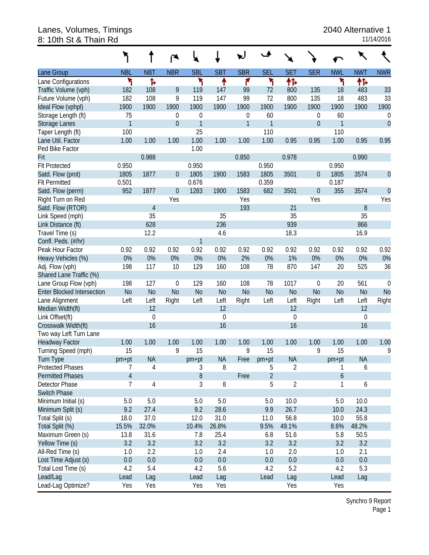#### Lanes, Volumes, Timings 2040 Alternative 1 8: 10th St & Thain Rd 11/14/2016

|                                   |                |                | ∼                |                  |             |                |                |                |                  |                  |                |                |
|-----------------------------------|----------------|----------------|------------------|------------------|-------------|----------------|----------------|----------------|------------------|------------------|----------------|----------------|
| Lane Group                        | <b>NBL</b>     | <b>NBT</b>     | <b>NBR</b>       | <b>SBL</b>       | <b>SBT</b>  | <b>SBR</b>     | <b>SEL</b>     | <b>SET</b>     | <b>SER</b>       | <b>NWL</b>       | <b>NWT</b>     | <b>NWR</b>     |
| Lane Configurations               | ۲              | Ъ              |                  | ۳                | ↟           | ۴              | ۲              | 怍              |                  | ۲                | ተኈ             |                |
| Traffic Volume (vph)              | 182            | 108            | 9                | 119              | 147         | 99             | 72             | 800            | 135              | 18               | 483            | 33             |
| Future Volume (vph)               | 182            | 108            | 9                | 119              | 147         | 99             | 72             | 800            | 135              | 18               | 483            | 33             |
| Ideal Flow (vphpl)                | 1900           | 1900           | 1900             | 1900             | 1900        | 1900           | 1900           | 1900           | 1900             | 1900             | 1900           | 1900           |
| Storage Length (ft)               | 75             |                | $\mathbf 0$      | $\boldsymbol{0}$ |             | 0              | 60             |                | $\boldsymbol{0}$ | 60               |                | 0              |
| Storage Lanes                     | $\mathbf{1}$   |                | $\mathbf{0}$     | $\mathbf{1}$     |             | $\mathbf{1}$   | $\mathbf{1}$   |                | $\boldsymbol{0}$ | $\mathbf{1}$     |                | $\mathbf 0$    |
| Taper Length (ft)                 | 100            |                |                  | 25               |             |                | 110            |                |                  | 110              |                |                |
| Lane Util. Factor                 | 1.00           | 1.00           | 1.00             | 1.00             | 1.00        | 1.00           | 1.00           | 0.95           | 0.95             | 1.00             | 0.95           | 0.95           |
| Ped Bike Factor                   |                |                |                  | 1.00             |             |                |                |                |                  |                  |                |                |
| Frt                               |                | 0.988          |                  |                  |             | 0.850          |                | 0.978          |                  |                  | 0.990          |                |
| <b>Flt Protected</b>              | 0.950          |                |                  | 0.950            |             |                | 0.950          |                |                  | 0.950            |                |                |
| Satd. Flow (prot)                 | 1805           | 1877           | $\boldsymbol{0}$ | 1805             | 1900        | 1583           | 1805           | 3501           | $\boldsymbol{0}$ | 1805             | 3574           | $\theta$       |
| <b>Flt Permitted</b>              | 0.501          |                |                  | 0.676            |             |                | 0.359          |                |                  | 0.187            |                |                |
| Satd. Flow (perm)                 | 952            | 1877           | $\mathbf 0$      | 1283             | 1900        | 1583           | 682            | 3501           | $\theta$         | 355              | 3574           | $\mathbf 0$    |
| Right Turn on Red                 |                |                | Yes              |                  |             | Yes            |                |                | Yes              |                  |                | Yes            |
| Satd. Flow (RTOR)                 |                | 4              |                  |                  |             | 193            |                | 21             |                  |                  | 8              |                |
| Link Speed (mph)                  |                | 35             |                  |                  | 35          |                |                | 35             |                  |                  | 35             |                |
| Link Distance (ft)                |                | 628            |                  |                  | 236         |                |                | 939            |                  |                  | 866            |                |
| Travel Time (s)                   |                | 12.2           |                  |                  | 4.6         |                |                | 18.3           |                  |                  | 16.9           |                |
| Confl. Peds. (#/hr)               |                |                |                  | 1                |             |                |                |                |                  |                  |                |                |
| Peak Hour Factor                  | 0.92           | 0.92           | 0.92             | 0.92             | 0.92        | 0.92           | 0.92           | 0.92           | 0.92             | 0.92             | 0.92           | 0.92           |
| Heavy Vehicles (%)                | $0\%$          | 0%             | 0%               | 0%               | 0%          | 2%             | 0%             | 1%             | 0%               | 0%               | 0%             | 0%             |
| Adj. Flow (vph)                   | 198            | 117            | 10               | 129              | 160         | 108            | 78             | 870            | 147              | 20               | 525            | 36             |
| Shared Lane Traffic (%)           |                |                |                  |                  |             |                |                |                |                  |                  |                |                |
| Lane Group Flow (vph)             | 198            | 127            | $\mathbf 0$      | 129              | 160         | 108            | 78             | 1017           | $\mathbf 0$      | 20               | 561            | $\mathbf 0$    |
| <b>Enter Blocked Intersection</b> | No             | N <sub>o</sub> | <b>No</b>        | N <sub>o</sub>   | No          | N <sub>o</sub> | N <sub>o</sub> | N <sub>o</sub> | <b>No</b>        | N <sub>o</sub>   | N <sub>o</sub> | N <sub>o</sub> |
| Lane Alignment                    | Left           | Left           | Right            | Left             | Left        | Right          | Left           | Left           | Right            | Left             | Left           | Right          |
| Median Width(ft)                  |                | 12             |                  |                  | 12          |                |                | 12             |                  |                  | 12             |                |
| Link Offset(ft)                   |                | $\mathbf 0$    |                  |                  | $\mathbf 0$ |                |                | $\mathbf 0$    |                  |                  | $\mathbf 0$    |                |
| Crosswalk Width(ft)               |                | 16             |                  |                  | 16          |                |                | 16             |                  |                  | 16             |                |
| Two way Left Turn Lane            |                |                |                  |                  |             |                |                |                |                  |                  |                |                |
| <b>Headway Factor</b>             | 1.00           | 1.00           | 1.00             | 1.00             | 1.00        | 1.00           | 1.00           | 1.00           | 1.00             | 1.00             | 1.00           | 1.00           |
| Turning Speed (mph)               | 15             |                | 9                | 15               |             | 9              | 15             |                | 9                | 15               |                | 9              |
| <b>Turn Type</b>                  | pm+pt          | <b>NA</b>      |                  | pm+pt            | <b>NA</b>   | Free           | $pm+pt$        | <b>NA</b>      |                  | pm+pt            | <b>NA</b>      |                |
| <b>Protected Phases</b>           | 7              | 4              |                  | 3                | 8           |                | 5              | $\overline{2}$ |                  | $\mathbf{1}$     | 6              |                |
| <b>Permitted Phases</b>           | $\overline{4}$ |                |                  | $\, 8$           |             | Free           | $\overline{2}$ |                |                  | $\boldsymbol{6}$ |                |                |
| Detector Phase                    | 7              | 4              |                  | 3                | 8           |                | 5              | 2              |                  | 1                | 6              |                |
| Switch Phase                      |                |                |                  |                  |             |                |                |                |                  |                  |                |                |
| Minimum Initial (s)               | 5.0            | 5.0            |                  | 5.0              | 5.0         |                | 5.0            | 10.0           |                  | 5.0              | 10.0           |                |
| Minimum Split (s)                 | 9.2            | 27.4           |                  | 9.2              | 28.6        |                | 9.9            | 26.7           |                  | 10.0             | 24.3           |                |
| Total Split (s)                   | 18.0           | 37.0           |                  | 12.0             | 31.0        |                | 11.0           | 56.8           |                  | 10.0             | 55.8           |                |
| Total Split (%)                   | 15.5%          | 32.0%          |                  | 10.4%            | 26.8%       |                | 9.5%           | 49.1%          |                  | 8.6%             | 48.2%          |                |
| Maximum Green (s)                 | 13.8           | 31.6           |                  | 7.8              | 25.4        |                | 6.8            | 51.6           |                  | 5.8              | 50.5           |                |
| Yellow Time (s)                   | 3.2            | 3.2            |                  | 3.2              | 3.2         |                | 3.2            | 3.2            |                  | 3.2              | 3.2            |                |
| All-Red Time (s)                  | 1.0            | 2.2            |                  | 1.0              | 2.4         |                | 1.0            | 2.0            |                  | 1.0              | 2.1            |                |
| Lost Time Adjust (s)              | 0.0            | $0.0\,$        |                  | 0.0              | $0.0\,$     |                | 0.0            | $0.0\,$        |                  | 0.0              | $0.0\,$        |                |
| Total Lost Time (s)               | 4.2            | 5.4            |                  | 4.2              | 5.6         |                | 4.2            | 5.2            |                  | 4.2              | 5.3            |                |
| Lead/Lag                          | Lead           | Lag            |                  | Lead             | Lag         |                | Lead           | Lag            |                  | Lead             | Lag            |                |
| Lead-Lag Optimize?                | Yes            | Yes            |                  | Yes              | Yes         |                |                | Yes            |                  | Yes              |                |                |

Synchro 9 Report Page 1